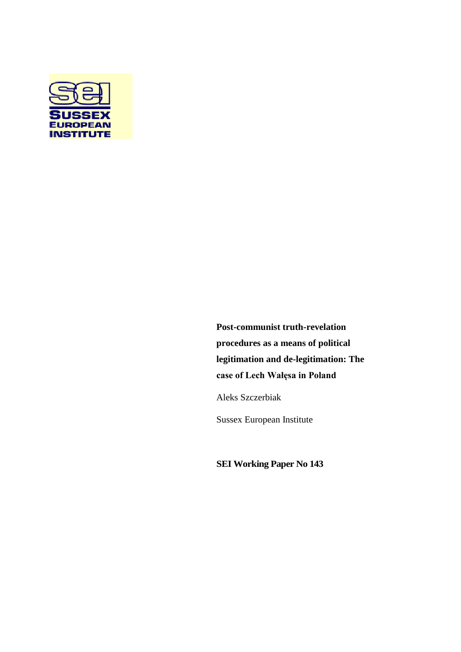

**Post-communist truth-revelation procedures as a means of political legitimation and de-legitimation: The case of Lech Wałęsa in Poland**

Aleks Szczerbiak

Sussex European Institute

**SEI Working Paper No 143**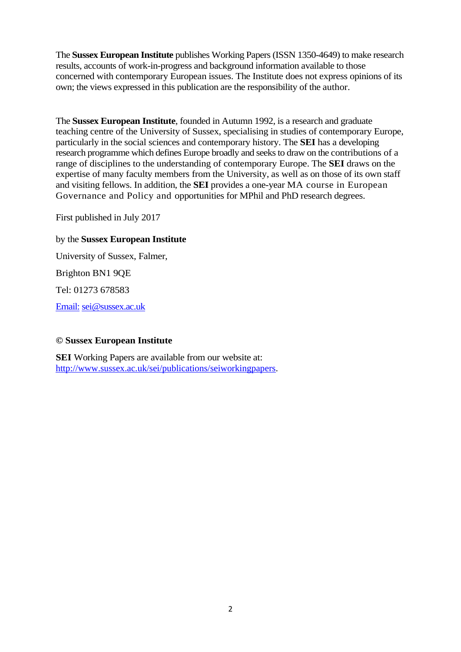The **Sussex European Institute** publishes Working Papers (ISSN 1350-4649) to make research results, accounts of work-in-progress and background information available to those concerned with contemporary European issues. The Institute does not express opinions of its own; the views expressed in this publication are the responsibility of the author.

The **Sussex European Institute**, founded in Autumn 1992, is a research and graduate teaching centre of the University of Sussex, specialising in studies of contemporary Europe, particularly in the social sciences and contemporary history. The **SEI** has a developing research programme which defines Europe broadly and seeks to draw on the contributions of a range of disciplines to the understanding of contemporary Europe. The **SEI** draws on the expertise of many faculty members from the University, as well as on those of its own staff and visiting fellows. In addition, the **SEI** provides a one-year MA course in European Governance and Policy and opportunities for MPhil and PhD research degrees.

First published in July 2017

# by the **Sussex European Institute**

University of Sussex, Falmer, Brighton BN1 9QE Tel: 01273 678583

[Email:](mailto:sei@sussex.ac.uk) sei@sussex.ac.uk

# **© Sussex European Institute**

**SEI** Working Papers are available from our website at: [http://www.sussex.ac.uk/sei/publications/seiworkingpapers.](http://www.sussex.ac.uk/sei/publications/seiworkingpapers)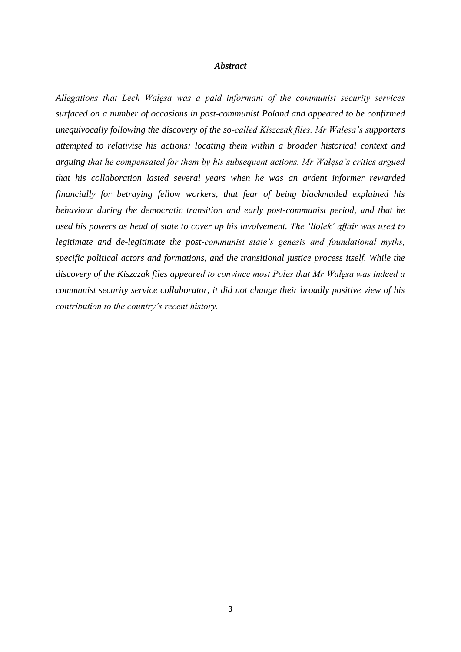#### *Abstract*

*Allegations that Lech Wałęsa was a paid informant of the communist security services surfaced on a number of occasions in post-communist Poland and appeared to be confirmed unequivocally following the discovery of the so-called Kiszczak files. Mr Wałęsa's supporters attempted to relativise his actions: locating them within a broader historical context and arguing that he compensated for them by his subsequent actions. Mr Wałęsa's critics argued that his collaboration lasted several years when he was an ardent informer rewarded financially for betraying fellow workers, that fear of being blackmailed explained his behaviour during the democratic transition and early post-communist period, and that he used his powers as head of state to cover up his involvement. The 'Bolek' affair was used to legitimate and de-legitimate the post-communist state's genesis and foundational myths, specific political actors and formations, and the transitional justice process itself. While the discovery of the Kiszczak files appeared to convince most Poles that Mr Wałęsa was indeed a communist security service collaborator, it did not change their broadly positive view of his contribution to the country's recent history.*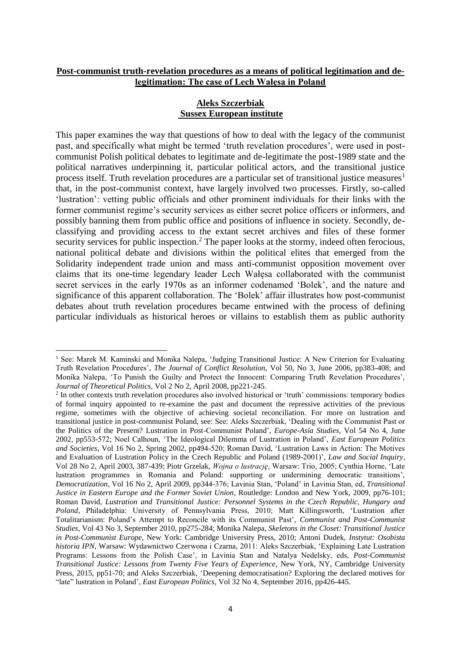## **Post-communist truth-revelation procedures as a means of political legitimation and delegitimation: The case of Lech Wałęsa in Poland**

## **Aleks Szczerbiak Sussex European institute**

This paper examines the way that questions of how to deal with the legacy of the communist past, and specifically what might be termed 'truth revelation procedures', were used in postcommunist Polish political debates to legitimate and de-legitimate the post-1989 state and the political narratives underpinning it, particular political actors, and the transitional justice process itself. Truth revelation procedures are a particular set of transitional justice measures<sup>1</sup> that, in the post-communist context, have largely involved two processes. Firstly, so-called 'lustration': vetting public officials and other prominent individuals for their links with the former communist regime's security services as either secret police officers or informers, and possibly banning them from public office and positions of influence in society. Secondly, declassifying and providing access to the extant secret archives and files of these former security services for public inspection.<sup>2</sup> The paper looks at the stormy, indeed often ferocious, national political debate and divisions within the political elites that emerged from the Solidarity independent trade union and mass anti-communist opposition movement over claims that its one-time legendary leader Lech Wałęsa collaborated with the communist secret services in the early 1970s as an informer codenamed 'Bolek', and the nature and significance of this apparent collaboration. The 'Bolek' affair illustrates how post-communist debates about truth revelation procedures became entwined with the process of defining particular individuals as historical heroes or villains to establish them as public authority

<sup>1</sup> See: Marek M. Kaminski and Monika Nalepa, 'Judging Transitional Justice: A New Criterion for Evaluating Truth Revelation Procedures', *The Journal of Conflict Resolution*, Vol 50, No 3, June 2006, pp383-408; and Monika Nalepa, 'To Punish the Guilty and Protect the Innocent: Comparing Truth Revelation Procedures', *Journal of Theoretical Politics*, Vol 2 No 2, April 2008, pp221-245.

<sup>2</sup> In other contexts truth revelation procedures also involved historical or 'truth' commissions: temporary bodies of formal inquiry appointed to re-examine the past and document the repressive activities of the previous regime, sometimes with the objective of achieving societal reconciliation. For more on lustration and transitional justice in post-communist Poland, see: See: Aleks Szczerbiak, 'Dealing with the Communist Past or the Politics of the Present? Lustration in Post-Communist Poland', *Europe-Asia Studies*, Vol 54 No 4, June 2002, pp553-572; Noel Calhoun, 'The Ideological Dilemma of Lustration in Poland', *East European Politics and Societies*, Vol 16 No 2, Spring 2002, pp494-520; Roman David, 'Lustration Laws in Action: The Motives and Evaluation of Lustration Policy in the Czech Republic and Poland (1989-2001)', *Law and Social Inquiry*, Vol 28 No 2, April 2003, 387-439; Piotr Grzelak, *Wojna o lustrację*, Warsaw: Trio, 2005; Cynthia Horne, 'Late lustration programmes in Romania and Poland: supporting or undermining democratic transitions', *Democratization*, Vol 16 No 2, April 2009, pp344-376; Lavinia Stan, 'Poland' in Lavinia Stan, ed, *Transitional Justice in Eastern Europe and the Former Soviet Union*, Routledge: London and New York, 2009, pp76-101; Roman David, *Lustration and Transitional Justice: Personnel Systems in the Czech Republic, Hungary and Poland*, Philadelphia: University of Pennsylvania Press, 2010; Matt Killingsworth, 'Lustration after Totalitarianism: Poland's Attempt to Reconcile with its Communist Past', *Communist and Post-Communist Studies*, Vol 43 No 3, September 2010, pp275-284; Monika Nalepa, *Skeletons in the Closet: Transitional Justice in Post-Communist Europe*, New York: Cambridge University Press, 2010; Antoni Dudek, *Instytut: Osobista historia IPN*, Warsaw: Wydawnictwo Czerwona i Czarna, 2011: Aleks Szczerbiak, 'Explaining Late Lustration Programs: Lessons from the Polish Case', in Lavinia Stan and Natalya Nedelsky, eds, *Post-Communist Transitional Justice: Lessons from Twenty Five Years of Experience*, New York, NY, Cambridge University Press, 2015, pp51-70; and Aleks Szczerbiak, 'Deepening democratisation? Exploring the declared motives for "late" lustration in Poland', *East European Politics*, Vol 32 No 4, September 2016, pp426-445.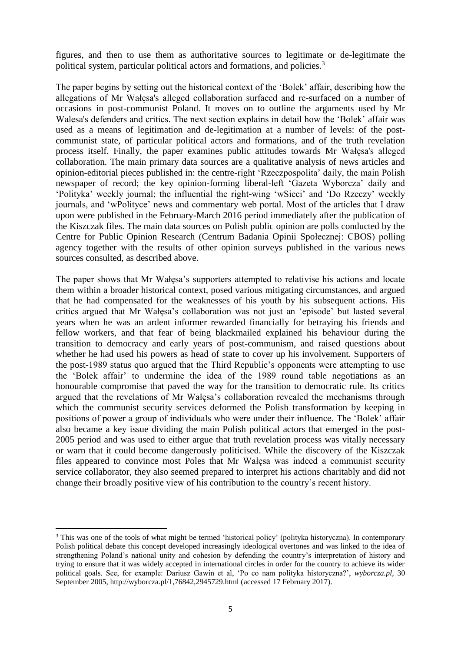figures, and then to use them as authoritative sources to legitimate or de-legitimate the political system, particular political actors and formations, and policies.<sup>3</sup>

The paper begins by setting out the historical context of the 'Bolek' affair, describing how the allegations of Mr Wałęsa's alleged collaboration surfaced and re-surfaced on a number of occasions in post-communist Poland. It moves on to outline the arguments used by Mr Walesa's defenders and critics. The next section explains in detail how the 'Bolek' affair was used as a means of legitimation and de-legitimation at a number of levels: of the postcommunist state, of particular political actors and formations, and of the truth revelation process itself. Finally, the paper examines public attitudes towards Mr Wałęsa's alleged collaboration. The main primary data sources are a qualitative analysis of news articles and opinion-editorial pieces published in: the centre-right 'Rzeczpospolita' daily, the main Polish newspaper of record; the key opinion-forming liberal-left 'Gazeta Wyborcza' daily and 'Polityka' weekly journal; the influential the right-wing 'wSieci' and 'Do Rzeczy' weekly journals, and 'wPolityce' news and commentary web portal. Most of the articles that I draw upon were published in the February-March 2016 period immediately after the publication of the Kiszczak files. The main data sources on Polish public opinion are polls conducted by the Centre for Public Opinion Research (Centrum Badania Opinii Społecznej: CBOS) polling agency together with the results of other opinion surveys published in the various news sources consulted, as described above.

The paper shows that Mr Wałęsa's supporters attempted to relativise his actions and locate them within a broader historical context, posed various mitigating circumstances, and argued that he had compensated for the weaknesses of his youth by his subsequent actions. His critics argued that Mr Wałęsa's collaboration was not just an 'episode' but lasted several years when he was an ardent informer rewarded financially for betraying his friends and fellow workers, and that fear of being blackmailed explained his behaviour during the transition to democracy and early years of post-communism, and raised questions about whether he had used his powers as head of state to cover up his involvement. Supporters of the post-1989 status quo argued that the Third Republic's opponents were attempting to use the 'Bolek affair' to undermine the idea of the 1989 round table negotiations as an honourable compromise that paved the way for the transition to democratic rule. Its critics argued that the revelations of Mr Wałęsa's collaboration revealed the mechanisms through which the communist security services deformed the Polish transformation by keeping in positions of power a group of individuals who were under their influence. The 'Bolek' affair also became a key issue dividing the main Polish political actors that emerged in the post-2005 period and was used to either argue that truth revelation process was vitally necessary or warn that it could become dangerously politicised. While the discovery of the Kiszczak files appeared to convince most Poles that Mr Wałęsa was indeed a communist security service collaborator, they also seemed prepared to interpret his actions charitably and did not change their broadly positive view of his contribution to the country's recent history.

<sup>&</sup>lt;sup>3</sup> This was one of the tools of what might be termed 'historical policy' (polityka historyczna). In contemporary Polish political debate this concept developed increasingly ideological overtones and was linked to the idea of strengthening Poland's national unity and cohesion by defending the country's interpretation of history and trying to ensure that it was widely accepted in international circles in order for the country to achieve its wider political goals. See, for example: Dariusz Gawin et al, 'Po co nam polityka historyczna?', *wyborcza.pl*, 30 September 2005, http://wyborcza.pl/1,76842,2945729.html (accessed 17 February 2017).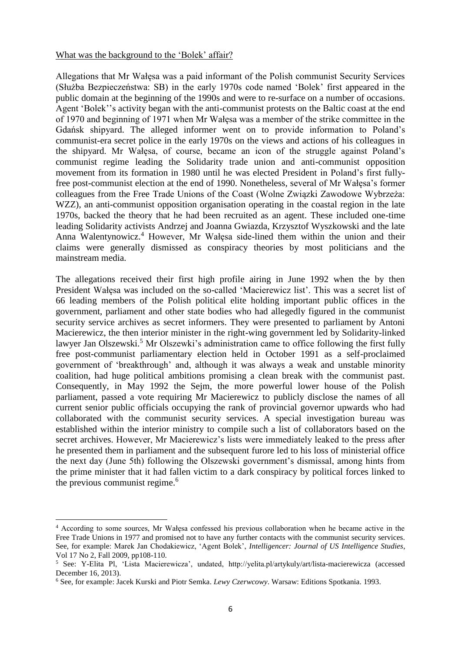#### What was the background to the 'Bolek' affair?

Allegations that Mr Wałęsa was a paid informant of the Polish communist Security Services (Służba Bezpieczeństwa: SB) in the early 1970s code named 'Bolek' first appeared in the public domain at the beginning of the 1990s and were to re-surface on a number of occasions. Agent 'Bolek''s activity began with the anti-communist protests on the Baltic coast at the end of 1970 and beginning of 1971 when Mr Wałęsa was a member of the strike committee in the Gdańsk shipyard. The alleged informer went on to provide information to Poland's communist-era secret police in the early 1970s on the views and actions of his colleagues in the shipyard. Mr Wałęsa, of course, became an icon of the struggle against Poland's communist regime leading the Solidarity trade union and anti-communist opposition movement from its formation in 1980 until he was elected President in Poland's first fullyfree post-communist election at the end of 1990. Nonetheless*,* several of Mr Wałęsa's former colleagues from the Free Trade Unions of the Coast (Wolne Związki Zawodowe Wybrzeża: WZZ), an anti-communist opposition organisation operating in the coastal region in the late 1970s, backed the theory that he had been recruited as an agent. These included one-time leading Solidarity activists Andrzej and Joanna Gwiazda, Krzysztof Wyszkowski and the late Anna Walentynowicz.<sup>4</sup> However, Mr Wałęsa side-lined them within the union and their claims were generally dismissed as conspiracy theories by most politicians and the mainstream media.

The allegations received their first high profile airing in June 1992 when the by then President Wałęsa was included on the so-called 'Macierewicz list'. This was a secret list of 66 leading members of the Polish political elite holding important public offices in the government, parliament and other state bodies who had allegedly figured in the communist security service archives as secret informers. They were presented to parliament by Antoni Macierewicz, the then interior minister in the right-wing government led by Solidarity-linked lawyer Jan Olszewski.<sup>5</sup> Mr Olszewki's administration came to office following the first fully free post-communist parliamentary election held in October 1991 as a self-proclaimed government of 'breakthrough' and, although it was always a weak and unstable minority coalition, had huge political ambitions promising a clean break with the communist past. Consequently, in May 1992 the Sejm, the more powerful lower house of the Polish parliament, passed a vote requiring Mr Macierewicz to publicly disclose the names of all current senior public officials occupying the rank of provincial governor upwards who had collaborated with the communist security services. A special investigation bureau was established within the interior ministry to compile such a list of collaborators based on the secret archives. However, Mr Macierewicz's lists were immediately leaked to the press after he presented them in parliament and the subsequent furore led to his loss of ministerial office the next day (June 5th) following the Olszewski government's dismissal, among hints from the prime minister that it had fallen victim to a dark conspiracy by political forces linked to the previous communist regime.<sup>6</sup>

<sup>4</sup> According to some sources, Mr Wałęsa confessed his previous collaboration when he became active in the Free Trade Unions in 1977 and promised not to have any further contacts with the communist security services. See, for example: Marek Jan Chodakiewicz, 'Agent Bolek', *Intelligencer: Journal of US Intelligence Studies*, Vol 17 No 2, Fall 2009, pp108-110.

<sup>5</sup> See: Y-Elita Pl, 'Lista Macierewicza', undated, http://yelita.pl/artykuly/art/lista-macierewicza (accessed December 16, 2013).

<sup>6</sup> See, for example: Jacek Kurski and Piotr Semka. *Lewy Czerwcowy*. Warsaw: Editions Spotkania. 1993.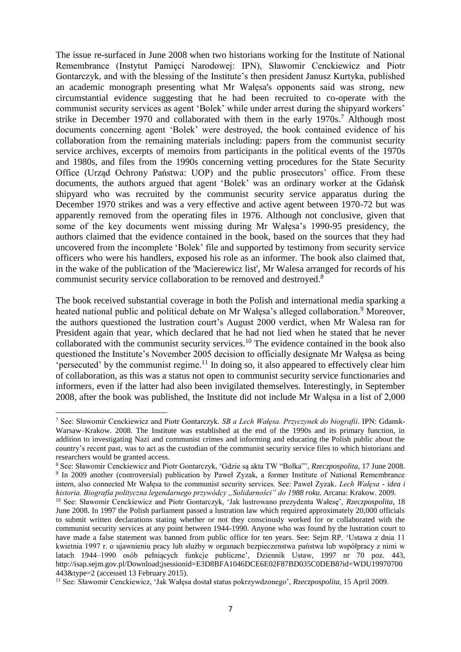The issue re-surfaced in June 2008 when two historians working for the Institute of National Remembrance (Instytut Pamięci Narodowej: IPN), Sławomir Cenckiewicz and Piotr Gontarczyk, and with the blessing of the Institute's then president Janusz Kurtyka, published an academic monograph presenting what Mr Wałęsa's opponents said was strong, new circumstantial evidence suggesting that he had been recruited to co-operate with the communist security services as agent 'Bolek' while under arrest during the shipyard workers' strike in December 1970 and collaborated with them in the early 1970s.<sup>7</sup> Although most documents concerning agent 'Bolek' were destroyed, the book contained evidence of his collaboration from the remaining materials including: papers from the communist security service archives, excerpts of memoirs from participants in the political events of the 1970s and 1980s, and files from the 1990s concerning vetting procedures for the State Security Office (Urząd Ochrony Państwa: UOP) and the public prosecutors' office. From these documents, the authors argued that agent 'Bolek' was an ordinary worker at the Gdańsk shipyard who was recruited by the communist security service apparatus during the December 1970 strikes and was a very effective and active agent between 1970-72 but was apparently removed from the operating files in 1976. Although not conclusive, given that some of the key documents went missing during Mr Wałęsa's 1990-95 presidency, the authors claimed that the evidence contained in the book, based on the sources that they had uncovered from the incomplete 'Bolek' file and supported by testimony from security service officers who were his handlers, exposed his role as an informer. The book also claimed that, in the wake of the publication of the 'Macierewicz list', Mr Walesa arranged for records of his communist security service collaboration to be removed and destroyed.<sup>8</sup>

The book received substantial coverage in both the Polish and international media sparking a heated national public and political debate on Mr Wałęsa's alleged collaboration.<sup>9</sup> Moreover, the authors questioned the lustration court's August 2000 verdict, when Mr Walesa ran for President again that year, which declared that he had not lied when he stated that he never collaborated with the communist security services.<sup>10</sup> The evidence contained in the book also questioned the Institute's November 2005 decision to officially designate Mr Wałęsa as being 'persecuted' by the communist regime. <sup>11</sup> In doing so, it also appeared to effectively clear him of collaboration, as this was a status not open to communist security service functionaries and informers, even if the latter had also been invigilated themselves. Interestingly, in September 2008, after the book was published, the Institute did not include Mr Wałęsa in a list of 2,000

<sup>7</sup> See: Sławomir Cenckiewicz and Piotr Gontarczyk. *SB a Lech Wałęsa. Przyczynek do biografii*. IPN: Gdansk-Warsaw–Krakow. 2008. The Institute was established at the end of the 1990s and its primary function, in addition to investigating Nazi and communist crimes and informing and educating the Polish public about the country's recent past, was to act as the custodian of the communist security service files to which historians and researchers would be granted access.

<sup>8</sup> See: Sławomir Cenckiewicz and Piotr Gontarczyk, 'Gdzie są akta TW "Bolka"', *Rzeczpospolita*, 17 June 2008. 9 In 2009 another (controversial) publication by Paweł Zyzak, a former Institute of National Remembrance intern, also connected Mr Wałęsa to the communist security services. See: Paweł Zyzak. *Lech Wałęsa - idea i historia. Biografia polityczna legendarnego przywódcy "Solidarności" do 1988 roku*. Arcana: Krakow. 2009.

<sup>10</sup> See: Sławomir Cenckiewicz and Piotr Gontarczyk, 'Jak lustrowano prezydenta Wałesę', *Rzeczpospolita*, 18 June 2008. In 1997 the Polish parliament passed a lustration law which required approximately 20,000 officials to submit written declarations stating whether or not they consciously worked for or collaborated with the communist security services at any point between 1944-1990. Anyone who was found by the lustration court to have made a false statement was banned from public office for ten years. See: Sejm RP. 'Ustawa z dnia 11 kwietnia 1997 r. o ujawnieniu pracy lub służby w organach bezpieczenstwa państwa lub współpracy z nimi w latach 1944–1990 osób pełniących funkcje publiczne', Dziennik Ustaw, 1997 nr 70 poz. 443, http://isap.sejm.gov.pl/Download;jsessionid=E3D8BFA1046DCE6E02F87BD035C0DEB8?id=WDU19970700 443&type=2 (accessed 13 February 2015).

<sup>11</sup> See: Sławomir Cenckiewicz, 'Jak Wałęsa dostał status pokrzywdzonego', *Rzeczpospolita*, 15 April 2009.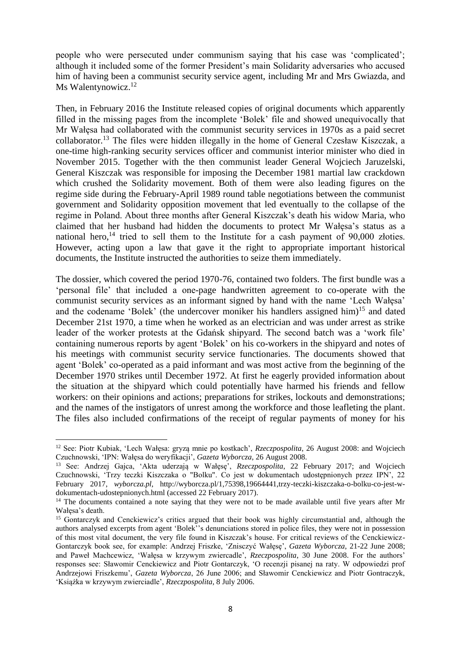people who were persecuted under communism saying that his case was 'complicated'; although it included some of the former President's main Solidarity adversaries who accused him of having been a communist security service agent, including Mr and Mrs Gwiazda, and Ms Walentynowicz.<sup>12</sup>

Then, in February 2016 the Institute released copies of original documents which apparently filled in the missing pages from the incomplete 'Bolek' file and showed unequivocally that Mr Wałęsa had collaborated with the communist security services in 1970s as a paid secret collaborator.<sup>13</sup> The files were hidden illegally in the home of General Czesław Kiszczak, a one-time high-ranking security services officer and communist interior minister who died in November 2015. Together with the then communist leader General Wojciech Jaruzelski, General Kiszczak was responsible for imposing the December 1981 martial law crackdown which crushed the Solidarity movement. Both of them were also leading figures on the regime side during the February-April 1989 round table negotiations between the communist government and Solidarity opposition movement that led eventually to the collapse of the regime in Poland. About three months after General Kiszczak's death his widow Maria, who claimed that her husband had hidden the documents to protect Mr Wałęsa's status as a national hero,<sup>14</sup> tried to sell them to the Institute for a cash payment of  $90,000$  złoties. However, acting upon a law that gave it the right to appropriate important historical documents, the Institute instructed the authorities to seize them immediately.

The dossier, which covered the period 1970-76, contained two folders. The first bundle was a 'personal file' that included a one-page handwritten agreement to co-operate with the communist security services as an informant signed by hand with the name 'Lech Wałęsa' and the codename 'Bolek' (the undercover moniker his handlers assigned him)<sup>15</sup> and dated December 21st 1970, a time when he worked as an electrician and was under arrest as strike leader of the worker protests at the Gdańsk shipyard. The second batch was a 'work file' containing numerous reports by agent 'Bolek' on his co-workers in the shipyard and notes of his meetings with communist security service functionaries. The documents showed that agent 'Bolek' co-operated as a paid informant and was most active from the beginning of the December 1970 strikes until December 1972. At first he eagerly provided information about the situation at the shipyard which could potentially have harmed his friends and fellow workers: on their opinions and actions; preparations for strikes, lockouts and demonstrations; and the names of the instigators of unrest among the workforce and those leafleting the plant. The files also included confirmations of the receipt of regular payments of money for his

<sup>12</sup> See: Piotr Kubiak, 'Lech Wałęsa: gryzą mnie po kostkach', *Rzeczpospolita*, 26 August 2008: and Wojciech Czuchnowski, 'IPN: Wałęsa do weryfikacji', *Gazeta Wyborcza*, 26 August 2008.

<sup>13</sup> See: Andrzej Gajca, 'Akta uderzają w Wałęsę', *Rzeczpospolita*, 22 February 2017; and Wojciech Czuchnowski, 'Trzy teczki Kiszczaka o "Bolku". Co jest w dokumentach udostępnionych przez IPN', 22 February 2017, *wyborcza.pl*, http://wyborcza.pl/1,75398,19664441,trzy-teczki-kiszczaka-o-bolku-co-jest-wdokumentach-udostepnionych.html (accessed 22 February 2017).

<sup>&</sup>lt;sup>14</sup> The documents contained a note saying that they were not to be made available until five years after Mr Wałęsa's death.

<sup>&</sup>lt;sup>15</sup> Gontarczyk and Cenckiewicz's critics argued that their book was highly circumstantial and, although the authors analysed excerpts from agent 'Bolek''s denunciations stored in police files, they were not in possession of this most vital document, the very file found in Kiszczak's house. For critical reviews of the Cenckiewicz-Gontarczyk book see, for example: Andrzej Friszke, 'Znisczyć Wałęsę', *Gazeta Wyborcza*, 21-22 June 2008; and Paweł Machcewicz, 'Wałęsa w krzywym zwiercadle', *Rzeczpospolita*, 30 June 2008. For the authors' responses see: Sławomir Cenckiewicz and Piotr Gontarczyk, 'O recenzji pisanej na raty. W odpowiedzi prof Andrzejowi Friszkemu', *Gazeta Wyborcza*, 26 June 2006; and Sławomir Cenckiewicz and Piotr Gontraczyk, 'Książka w krzywym zwierciadle', *Rzeczpospolita*, 8 July 2006.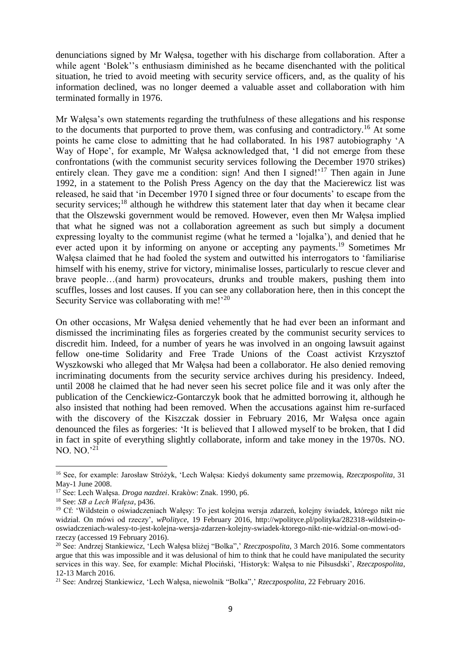denunciations signed by Mr Wałęsa, together with his discharge from collaboration. After a while agent 'Bolek''s enthusiasm diminished as he became disenchanted with the political situation, he tried to avoid meeting with security service officers, and, as the quality of his information declined, was no longer deemed a valuable asset and collaboration with him terminated formally in 1976.

Mr Wałęsa's own statements regarding the truthfulness of these allegations and his response to the documents that purported to prove them, was confusing and contradictory.<sup>16</sup> At some points he came close to admitting that he had collaborated. In his 1987 autobiography 'A Way of Hope', for example, Mr Wałęsa acknowledged that, 'I did not emerge from these confrontations (with the communist security services following the December 1970 strikes) entirely clean. They gave me a condition: sign! And then I signed!<sup>'17</sup> Then again in June 1992, in a statement to the Polish Press Agency on the day that the Macierewicz list was released, he said that 'in December 1970 I signed three or four documents' to escape from the security services; $<sup>18</sup>$  although he withdrew this statement later that day when it became clear</sup> that the Olszewski government would be removed. However, even then Mr Wałęsa implied that what he signed was not a collaboration agreement as such but simply a document expressing loyalty to the communist regime (what he termed a 'lojalka'), and denied that he ever acted upon it by informing on anyone or accepting any payments.<sup>19</sup> Sometimes Mr Wałęsa claimed that he had fooled the system and outwitted his interrogators to 'familiarise himself with his enemy, strive for victory, minimalise losses, particularly to rescue clever and brave people…(and harm) provocateurs, drunks and trouble makers, pushing them into scuffles, losses and lost causes. If you can see any collaboration here, then in this concept the Security Service was collaborating with me!<sup>'20</sup>

On other occasions, Mr Wałęsa denied vehemently that he had ever been an informant and dismissed the incriminating files as forgeries created by the communist security services to discredit him. Indeed, for a number of years he was involved in an ongoing lawsuit against fellow one-time Solidarity and Free Trade Unions of the Coast activist Krzysztof Wyszkowski who alleged that Mr Wałęsa had been a collaborator. He also denied removing incriminating documents from the security service archives during his presidency. Indeed, until 2008 he claimed that he had never seen his secret police file and it was only after the publication of the Cenckiewicz-Gontarczyk book that he admitted borrowing it, although he also insisted that nothing had been removed. When the accusations against him re-surfaced with the discovery of the Kiszczak dossier in February 2016, Mr Wałęsa once again denounced the files as forgeries: 'It is believed that I allowed myself to be broken, that I did in fact in spite of everything slightly collaborate, inform and take money in the 1970s. NO. NO. NO.' $^{21}$ 

<sup>16</sup> See, for example: Jarosław Stróżyk, 'Lech Wałęsa: Kiedyś dokumenty same przemowią, *Rzeczpospolita*, 31 May-1 June 2008.

<sup>17</sup> See: Lech Wałęsa. *Droga nazdzei*. Krakòw: Znak. 1990, p6.

<sup>18</sup> See: *SB a Lech Wałęsa*, p436.

<sup>19</sup> Cf: 'Wildstein o oświadczeniach Wałęsy: To jest kolejna wersja zdarzeń, kolejny świadek, którego nikt nie widział. On mówi od rzeczy', *wPolityce*, 19 February 2016, http://wpolityce.pl/polityka/282318-wildstein-ooswiadczeniach-walesy-to-jest-kolejna-wersja-zdarzen-kolejny-swiadek-ktorego-nikt-nie-widzial-on-mowi-odrzeczy (accessed 19 February 2016).

<sup>20</sup> See: Andrzej Stankiewicz, 'Lech Wałęsa bliżej "Bolka",' *Rzeczpospolita*, 3 March 2016. Some commentators argue that this was impossible and it was delusional of him to think that he could have manipulated the security services in this way. See, for example: Michał Płociński, 'Historyk: Wałęsa to nie Piłsusdski', *Rzeczpospolita*, 12-13 March 2016.

<sup>21</sup> See: Andrzej Stankiewicz, 'Lech Wałęsa, niewolnik "Bolka",' *Rzeczpospolita*, 22 February 2016.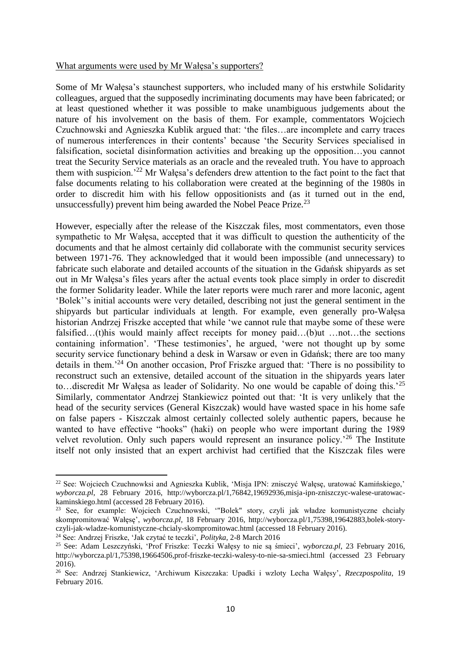#### What arguments were used by Mr Wałęsa's supporters?

Some of Mr Wałęsa's staunchest supporters, who included many of his erstwhile Solidarity colleagues, argued that the supposedly incriminating documents may have been fabricated; or at least questioned whether it was possible to make unambiguous judgements about the nature of his involvement on the basis of them. For example, commentators Wojciech Czuchnowski and Agnieszka Kublik argued that: 'the files…are incomplete and carry traces of numerous interferences in their contents' because 'the Security Services specialised in falsification, societal disinformation activities and breaking up the opposition…you cannot treat the Security Service materials as an oracle and the revealed truth. You have to approach them with suspicion.'<sup>22</sup> Mr Wałęsa's defenders drew attention to the fact point to the fact that false documents relating to his collaboration were created at the beginning of the 1980s in order to discredit him with his fellow oppositionists and (as it turned out in the end, unsuccessfully) prevent him being awarded the Nobel Peace Prize.<sup>23</sup>

However, especially after the release of the Kiszczak files, most commentators, even those sympathetic to Mr Wałęsa, accepted that it was difficult to question the authenticity of the documents and that he almost certainly did collaborate with the communist security services between 1971-76. They acknowledged that it would been impossible (and unnecessary) to fabricate such elaborate and detailed accounts of the situation in the Gdańsk shipyards as set out in Mr Wałęsa's files years after the actual events took place simply in order to discredit the former Solidarity leader. While the later reports were much rarer and more laconic, agent 'Bolek''s initial accounts were very detailed, describing not just the general sentiment in the shipyards but particular individuals at length. For example, even generally pro-Wałęsa historian Andrzej Friszke accepted that while 'we cannot rule that maybe some of these were falsified…(t)his would mainly affect receipts for money paid…(b)ut …not…the sections containing information'. 'These testimonies', he argued, 'were not thought up by some security service functionary behind a desk in Warsaw or even in Gdańsk; there are too many details in them.'<sup>24</sup> On another occasion, Prof Friszke argued that: 'There is no possibility to reconstruct such an extensive, detailed account of the situation in the shipyards years later to...discredit Mr Wałesa as leader of Solidarity. No one would be capable of doing this.<sup>'25</sup> Similarly, commentator Andrzej Stankiewicz pointed out that: 'It is very unlikely that the head of the security services (General Kiszczak) would have wasted space in his home safe on false papers - Kiszczak almost certainly collected solely authentic papers, because he wanted to have effective "hooks" (haki) on people who were important during the 1989 velvet revolution. Only such papers would represent an insurance policy.<sup>26</sup> The Institute itself not only insisted that an expert archivist had certified that the Kiszczak files were

<sup>24</sup> See: Andrzej Friszke, 'Jak czytać te teczki', *Polityka*, 2-8 March 2016

<sup>22</sup> See: Wojciech Czuchnowksi and Agnieszka Kublik, 'Misja IPN: znisczyć Wałęsę, uratować Kamińskiego,' *wyborcza.pl*, 28 February 2016, http://wyborcza.pl/1,76842,19692936,misja-ipn-zniszczyc-walese-uratowackaminskiego.html (accessed 28 February 2016).

<sup>&</sup>lt;sup>23</sup> See, for example: Wojciech Czuchnowski, "Bolek" story, czyli jak władze komunistyczne chciały skompromitować Wałęsę', *wyborcza.pl*, 18 February 2016, http://wyborcza.pl/1,75398,19642883,bolek-storyczyli-jak-wladze-komunistyczne-chcialy-skompromitowac.html (accessed 18 February 2016).

<sup>25</sup> See: Adam Leszczyński, 'Prof Friszke: Teczki Wałęsy to nie są śmieci', *wyborcza.pl*, 23 February 2016, http://wyborcza.pl/1,75398,19664506,prof-friszke-teczki-walesy-to-nie-sa-smieci.html (accessed 23 February 2016).

<sup>26</sup> See: Andrzej Stankiewicz, 'Archiwum Kiszczaka: Upadki i wzloty Lecha Wałęsy', *Rzeczpospolita*, 19 February 2016.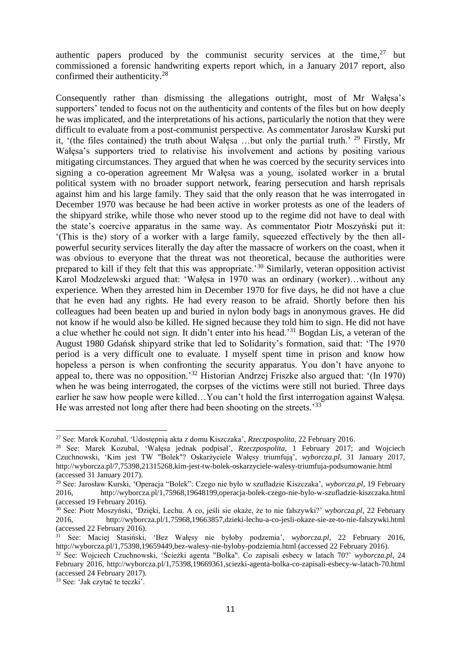authentic papers produced by the communist security services at the time,  $27$  but commissioned a forensic handwriting experts report which, in a January 2017 report, also confirmed their authenticity.<sup>28</sup>

Consequently rather than dismissing the allegations outright, most of Mr Wałęsa's supporters' tended to focus not on the authenticity and contents of the files but on how deeply he was implicated, and the interpretations of his actions, particularly the notion that they were difficult to evaluate from a post-communist perspective. As commentator Jarosław Kurski put it, '(the files contained) the truth about Wałesa ...but only the partial truth.' <sup>29</sup> Firstly, Mr Wałęsa's supporters tried to relativise his involvement and actions by positing various mitigating circumstances. They argued that when he was coerced by the security services into signing a co-operation agreement Mr Wałęsa was a young, isolated worker in a brutal political system with no broader support network, fearing persecution and harsh reprisals against him and his large family. They said that the only reason that he was interrogated in December 1970 was because he had been active in worker protests as one of the leaders of the shipyard strike, while those who never stood up to the regime did not have to deal with the state's coercive apparatus in the same way. As commentator Piotr Moszyński put it: '(This is the) story of a worker with a large family, squeezed effectively by the then allpowerful security services literally the day after the massacre of workers on the coast, when it was obvious to everyone that the threat was not theoretical, because the authorities were prepared to kill if they felt that this was appropriate.'<sup>30</sup> Similarly, veteran opposition activist Karol Modzelewski argued that: 'Wałęsa in 1970 was an ordinary (worker)…without any experience. When they arrested him in December 1970 for five days, he did not have a clue that he even had any rights. He had every reason to be afraid. Shortly before then his colleagues had been beaten up and buried in nylon body bags in anonymous graves. He did not know if he would also be killed. He signed because they told him to sign. He did not have a clue whether he could not sign. It didn't enter into his head.'<sup>31</sup> Bogdan Lis, a veteran of the August 1980 Gdańsk shipyard strike that led to Solidarity's formation, said that: 'The 1970 period is a very difficult one to evaluate. I myself spent time in prison and know how hopeless a person is when confronting the security apparatus. You don't have anyone to appeal to, there was no opposition.'<sup>32</sup> Historian Andrzej Friszke also argued that: '(In 1970) when he was being interrogated, the corpses of the victims were still not buried. Three days earlier he saw how people were killed…You can't hold the first interrogation against Wałęsa. He was arrested not long after there had been shooting on the streets.<sup>33</sup>

<sup>27</sup> See: Marek Kozubal, 'Udostępnią akta z domu Kiszczaka', *Rzeczpospolita*, 22 February 2016.

<sup>28</sup> See: Marek Kozubal, 'Wałęsa jednak podpisał', *Rzeczpospolita*, 1 February 2017; and Wojciech Czuchnowski, 'Kim jest TW "Bolek"? Oskarżyciele Wałęsy triumfują', *wyborcza.pl*, 31 January 2017, http://wyborcza.pl/7,75398,21315268,kim-jest-tw-bolek-oskarzyciele-walesy-triumfuja-podsumowanie.html (accessed 31 January 2017).

<sup>29</sup> See: Jarosław Kurski, 'Operacja "Bolek": Czego nie było w szufladzie Kiszczaka', *wyborcza.pl*, 19 February 2016, http://wyborcza.pl/1,75968,19648199,operacja-bolek-czego-nie-bylo-w-szufladzie-kiszczaka.html (accessed 19 February 2016).

<sup>30</sup> See: Piotr Moszyński, 'Dzięki, Lechu. A co, jeśli sie okaże, że to nie fałszywki?' *wyborcza.pl*, 22 February 2016, http://wyborcza.pl/1,75968,19663857,dzieki-lechu-a-co-jesli-okaze-sie-ze-to-nie-falszywki.html (accessed 22 February 2016).

<sup>31</sup> See: Maciej Stasiński, 'Bez Wałęsy nie byłoby podzemia', *wyborcza.pl*, 22 February 2016, http://wyborcza.pl/1,75398,19659449,bez-walesy-nie-byloby-podziemia.html (accessed 22 February 2016).

<sup>32</sup> See: Wojciech Czuchnowski, 'Ścieżki agenta "Bolka". Co zapisali esbecy w latach 70?' *wyborcza.pl*, 24 February 2016, http://wyborcza.pl/1,75398,19669361,sciezki-agenta-bolka-co-zapisali-esbecy-w-latach-70.html (accessed 24 February 2017).

<sup>33</sup> See: 'Jak czytać te teczki'.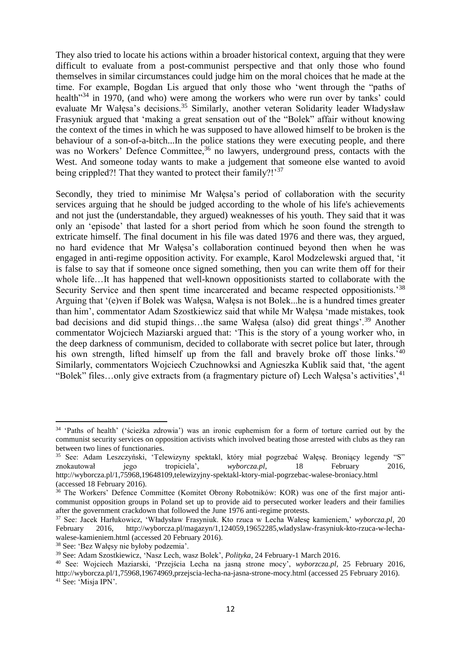They also tried to locate his actions within a broader historical context, arguing that they were difficult to evaluate from a post-communist perspective and that only those who found themselves in similar circumstances could judge him on the moral choices that he made at the time. For example, Bogdan Lis argued that only those who 'went through the "paths of health<sup>34</sup> in 1970, (and who) were among the workers who were run over by tanks' could evaluate Mr Wałęsa's decisions.<sup>35</sup> Similarly, another veteran Solidarity leader Władysław Frasyniuk argued that 'making a great sensation out of the "Bolek" affair without knowing the context of the times in which he was supposed to have allowed himself to be broken is the behaviour of a son-of-a-bitch...In the police stations they were executing people, and there was no Workers' Defence Committee,<sup>36</sup> no lawyers, underground press, contacts with the West. And someone today wants to make a judgement that someone else wanted to avoid being crippled?! That they wanted to protect their family?!'<sup>37</sup>

Secondly, they tried to minimise Mr Wałęsa's period of collaboration with the security services arguing that he should be judged according to the whole of his life's achievements and not just the (understandable, they argued) weaknesses of his youth. They said that it was only an 'episode' that lasted for a short period from which he soon found the strength to extricate himself. The final document in his file was dated 1976 and there was, they argued, no hard evidence that Mr Wałęsa's collaboration continued beyond then when he was engaged in anti-regime opposition activity. For example, Karol Modzelewski argued that, 'it is false to say that if someone once signed something, then you can write them off for their whole life…It has happened that well-known oppositionists started to collaborate with the Security Service and then spent time incarcerated and became respected oppositionists.'<sup>38</sup> Arguing that '(e)ven if Bolek was Wałęsa, Wałęsa is not Bolek...he is a hundred times greater than him', commentator Adam Szostkiewicz said that while Mr Wałęsa 'made mistakes, took bad decisions and did stupid things…the same Wałęsa (also) did great things'.<sup>39</sup> Another commentator Wojciech Maziarski argued that: 'This is the story of a young worker who, in the deep darkness of communism, decided to collaborate with secret police but later, through his own strength, lifted himself up from the fall and bravely broke off those links.<sup>'40</sup> Similarly, commentators Wojciech Czuchnowksi and Agnieszka Kublik said that, 'the agent "Bolek" files...only give extracts from (a fragmentary picture of) Lech Wałęsa's activities', <sup>41</sup>

 $\overline{\phantom{a}}$ 

<sup>&</sup>lt;sup>34</sup> 'Paths of health' ('ścieżka zdrowia') was an ironic euphemism for a form of torture carried out by the communist security services on opposition activists which involved beating those arrested with clubs as they ran between two lines of functionaries.

<sup>35</sup> See: Adam Leszczyński, 'Telewizyny spektakl, który miał pogrzebać Wałęsę. Broniący legendy "S" znokautował jego tropiciela<sup>'</sup>, *wyborcza.pl*, 18 February 2016, http://wyborcza.pl/1,75968,19648109,telewizyjny-spektakl-ktory-mial-pogrzebac-walese-broniacy.html (accessed 18 February 2016).

<sup>36</sup> The Workers' Defence Committee (Komitet Obrony Robotników: KOR) was one of the first major anticommunist opposition groups in Poland set up to provide aid to persecuted worker leaders and their families after the government crackdown that followed the June 1976 anti-regime protests.

<sup>37</sup> See: Jacek Harłukowicz, 'Władysław Frasyniuk. Kto rzuca w Lecha Wałesę kamieniem,' *wyborcza.pl*, 20 February 2016, http://wyborcza.pl/magazyn/1,124059,19652285,wladyslaw-frasyniuk-kto-rzuca-w-lechawalese-kamieniem.html (accessed 20 February 2016).

<sup>38</sup> See: 'Bez Wałęsy nie byłoby podzemia'.

<sup>39</sup> See: Adam Szostkiewicz, 'Nasz Lech, wasz Bolek', *Polityka*, 24 February-1 March 2016.

<sup>40</sup> See: Wojciech Maziarski, 'Przejścia Lecha na jasną strone mocy', *wyborzcza.pl*, 25 February 2016, http://wyborcza.pl/1,75968,19674969,przejscia-lecha-na-jasna-strone-mocy.html (accessed 25 February 2016). <sup>41</sup> See: 'Misia IPN'.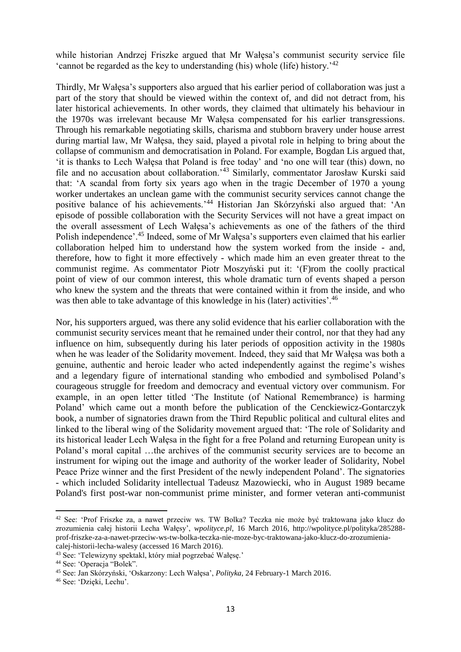while historian Andrzej Friszke argued that Mr Wałęsa's communist security service file 'cannot be regarded as the key to understanding (his) whole (life) history.'<sup>42</sup>

Thirdly, Mr Wałęsa's supporters also argued that his earlier period of collaboration was just a part of the story that should be viewed within the context of, and did not detract from, his later historical achievements. In other words, they claimed that ultimately his behaviour in the 1970s was irrelevant because Mr Wałęsa compensated for his earlier transgressions. Through his remarkable negotiating skills, charisma and stubborn bravery under house arrest during martial law, Mr Wałęsa, they said, played a pivotal role in helping to bring about the collapse of communism and democratisation in Poland. For example, Bogdan Lis argued that, 'it is thanks to Lech Wałęsa that Poland is free today' and 'no one will tear (this) down, no file and no accusation about collaboration.'<sup>43</sup> Similarly, commentator Jarosław Kurski said that: 'A scandal from forty six years ago when in the tragic December of 1970 a young worker undertakes an unclean game with the communist security services cannot change the positive balance of his achievements.'<sup>44</sup> Historian Jan Skórzyński also argued that: 'An episode of possible collaboration with the Security Services will not have a great impact on the overall assessment of Lech Wałęsa's achievements as one of the fathers of the third Polish independence'.<sup>45</sup> Indeed, some of Mr Wałęsa's supporters even claimed that his earlier collaboration helped him to understand how the system worked from the inside - and, therefore, how to fight it more effectively - which made him an even greater threat to the communist regime. As commentator Piotr Moszyński put it: '(F)rom the coolly practical point of view of our common interest, this whole dramatic turn of events shaped a person who knew the system and the threats that were contained within it from the inside, and who was then able to take advantage of this knowledge in his (later) activities'.<sup>46</sup>

Nor, his supporters argued, was there any solid evidence that his earlier collaboration with the communist security services meant that he remained under their control, nor that they had any influence on him, subsequently during his later periods of opposition activity in the 1980s when he was leader of the Solidarity movement. Indeed, they said that Mr Wałęsa was both a genuine, authentic and heroic leader who acted independently against the regime's wishes and a legendary figure of international standing who embodied and symbolised Poland's courageous struggle for freedom and democracy and eventual victory over communism. For example, in an open letter titled 'The Institute (of National Remembrance) is harming Poland' which came out a month before the publication of the Cenckiewicz-Gontarczyk book, a number of signatories drawn from the Third Republic political and cultural elites and linked to the liberal wing of the Solidarity movement argued that: 'The role of Solidarity and its historical leader Lech Wałęsa in the fight for a free Poland and returning European unity is Poland's moral capital …the archives of the communist security services are to become an instrument for wiping out the image and authority of the worker leader of Solidarity, Nobel Peace Prize winner and the first President of the newly independent Poland'. The signatories - which included Solidarity intellectual Tadeusz Mazowiecki, who in August 1989 became Poland's first post-war non-communist prime minister, and former veteran anti-communist

<sup>42</sup> See: 'Prof Friszke za, a nawet przeciw ws. TW Bolka? Teczka nie może być traktowana jako klucz do zrozumienia całej historii Lecha Wałęsy', *wpolityce.pl*, 16 March 2016, http://wpolityce.pl/polityka/285288 prof-friszke-za-a-nawet-przeciw-ws-tw-bolka-teczka-nie-moze-byc-traktowana-jako-klucz-do-zrozumieniacalej-historii-lecha-walesy (accessed 16 March 2016).

<sup>43</sup> See: 'Telewizyny spektakl, który miał pogrzebać Wałęsę.'

<sup>44</sup> See: 'Operacja "Bolek".

<sup>45</sup> See: Jan Skórzyński, 'Oskarzony: Lech Wałęsa', *Polityka*, 24 February-1 March 2016.

<sup>46</sup> See: 'Dzięki, Lechu'.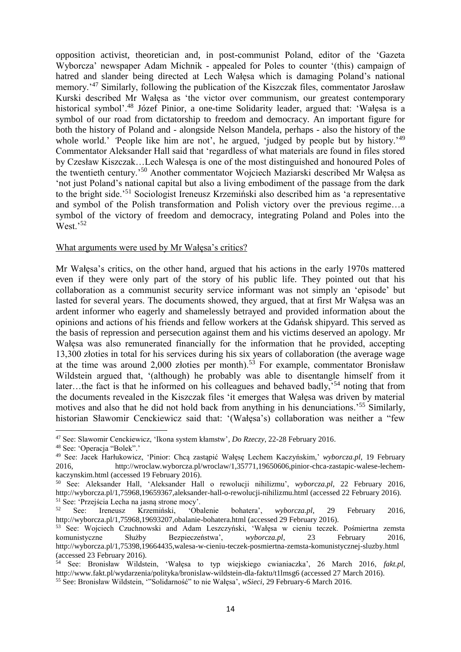opposition activist, theoretician and, in post-communist Poland, editor of the 'Gazeta Wyborcza' newspaper Adam Michnik - appealed for Poles to counter '(this) campaign of hatred and slander being directed at Lech Wałęsa which is damaging Poland's national memory.'<sup>47</sup> Similarly, following the publication of the Kiszczak files, commentator Jarosław Kurski described Mr Wałęsa as 'the victor over communism, our greatest contemporary historical symbol'.<sup>48</sup> Józef Pinior, a one-time Solidarity leader, argued that: 'Wałęsa is a symbol of our road from dictatorship to freedom and democracy. An important figure for both the history of Poland and - alongside Nelson Mandela, perhaps - also the history of the whole world.' People like him are not', he argued, 'judged by people but by history.<sup>'49</sup> Commentator Aleksander Hall said that 'regardless of what materials are found in files stored by Czesław Kiszczak…Lech Wałesęa is one of the most distinguished and honoured Poles of the twentieth century.'<sup>50</sup> Another commentator Wojciech Maziarski described Mr Wałęsa as 'not just Poland's national capital but also a living embodiment of the passage from the dark to the bright side.'<sup>51</sup> Sociologist Ireneusz Krzemiński also described him as 'a representative and symbol of the Polish transformation and Polish victory over the previous regime…a symbol of the victory of freedom and democracy, integrating Poland and Poles into the West.'<sup>52</sup>

#### What arguments were used by Mr Wałęsa's critics?

Mr Wałęsa's critics, on the other hand, argued that his actions in the early 1970s mattered even if they were only part of the story of his public life. They pointed out that his collaboration as a communist security service informant was not simply an 'episode' but lasted for several years. The documents showed, they argued, that at first Mr Wałęsa was an ardent informer who eagerly and shamelessly betrayed and provided information about the opinions and actions of his friends and fellow workers at the Gdańsk shipyard. This served as the basis of repression and persecution against them and his victims deserved an apology. Mr Wałęsa was also remunerated financially for the information that he provided, accepting 13,300 złoties in total for his services during his six years of collaboration (the average wage at the time was around 2,000 złoties per month).<sup>53</sup> For example, commentator Bronisław Wildstein argued that, '(although) he probably was able to disentangle himself from it later…the fact is that he informed on his colleagues and behaved badly,<sup>54</sup> noting that from the documents revealed in the Kiszczak files 'it emerges that Wałęsa was driven by material motives and also that he did not hold back from anything in his denunciations.'<sup>55</sup> Similarly, historian Sławomir Cenckiewicz said that: '(Wałęsa's) collaboration was neither a "few

<sup>47</sup> See: Slawomir Cenckiewicz, 'Ikona system kłamstw'*, Do Rzeczy*, 22-28 February 2016.

<sup>48</sup> See: 'Operacja "Bolek".'

<sup>49</sup> See: Jacek Harłukowicz, 'Pinior: Chcą zastąpić Wałęsę Lechem Kaczyńskim,' *wyborcza.pl*, 19 February 2016, http://wroclaw.wyborcza.pl/wroclaw/1,35771,19650606,pinior-chca-zastapic-walese-lechemkaczynskim.html (accessed 19 February 2016).

<sup>50</sup> See: Aleksander Hall, 'Aleksander Hall o rewolucji nihilizmu', *wyborcza.pl*, 22 February 2016, http://wyborcza.pl/1,75968,19659367,aleksander-hall-o-rewolucji-nihilizmu.html (accessed 22 February 2016). <sup>51</sup> See: 'Przejścia Lecha na jasną strone mocy'.<br>
<sup>52</sup> See: Iranguaz Krzemiński (Ob

<sup>52</sup> See: Ireneusz Krzemiński, 'Obalenie bohatera', *wyborcza.pl*, 29 February 2016, http://wyborcza.pl/1,75968,19693207,obalanie-bohatera.html (accessed 29 February 2016).

<sup>53</sup> See: Wojciech Czuchnowski and Adam Leszczyński, 'Wałęsa w cieniu teczek. Pośmiertna zemsta komunistyczne Służby Bezpieczeństwa', *wyborcza.pl*, 23 February 2016, http://wyborcza.pl/1,75398,19664435,walesa-w-cieniu-teczek-posmiertna-zemsta-komunistycznej-sluzby.html (accessed 23 February 2016).

<sup>54</sup> See: Bronisław Wildstein, 'Wałęsa to typ wiejskiego cwianiaczka', 26 March 2016, *fakt.pl*, http://www.fakt.pl/wydarzenia/polityka/bronislaw-wildstein-dla-faktu/t1lmsg6 (accessed 27 March 2016).

<sup>55</sup> See: Bronisław Wildstein, '"Solidarność" to nie Wałęsa', *wSieci*, 29 February-6 March 2016.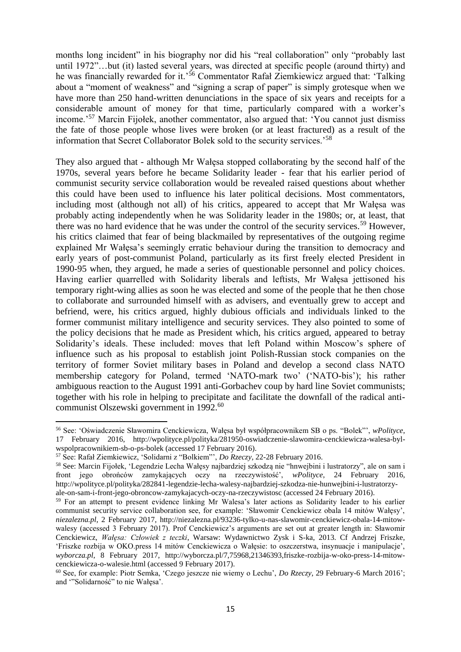months long incident" in his biography nor did his "real collaboration" only "probably last until 1972"…but (it) lasted several years, was directed at specific people (around thirty) and he was financially rewarded for it.<sup>56</sup> Commentator Rafał Ziemkiewicz argued that: 'Talking about a "moment of weakness" and "signing a scrap of paper" is simply grotesque when we have more than 250 hand-written denunciations in the space of six years and receipts for a considerable amount of money for that time, particularly compared with a worker's income.'<sup>57</sup> Marcin Fijołek, another commentator, also argued that: 'You cannot just dismiss the fate of those people whose lives were broken (or at least fractured) as a result of the information that Secret Collaborator Bolek sold to the security services.'<sup>58</sup>

They also argued that - although Mr Wałęsa stopped collaborating by the second half of the 1970s, several years before he became Solidarity leader - fear that his earlier period of communist security service collaboration would be revealed raised questions about whether this could have been used to influence his later political decisions. Most commentators, including most (although not all) of his critics, appeared to accept that Mr Wałęsa was probably acting independently when he was Solidarity leader in the 1980s; or, at least, that there was no hard evidence that he was under the control of the security services.<sup>59</sup> However, his critics claimed that fear of being blackmailed by representatives of the outgoing regime explained Mr Wałęsa's seemingly erratic behaviour during the transition to democracy and early years of post-communist Poland, particularly as its first freely elected President in 1990-95 when, they argued, he made a series of questionable personnel and policy choices. Having earlier quarrelled with Solidarity liberals and leftists, Mr Wałęsa jettisoned his temporary right-wing allies as soon he was elected and some of the people that he then chose to collaborate and surrounded himself with as advisers, and eventually grew to accept and befriend, were, his critics argued, highly dubious officials and individuals linked to the former communist military intelligence and security services. They also pointed to some of the policy decisions that he made as President which, his critics argued, appeared to betray Solidarity's ideals. These included: moves that left Poland within Moscow's sphere of influence such as his proposal to establish joint Polish-Russian stock companies on the territory of former Soviet military bases in Poland and develop a second class NATO membership category for Poland, termed 'NATO-mark two' ('NATO-bis'); his rather ambiguous reaction to the August 1991 anti-Gorbachev coup by hard line Soviet communists; together with his role in helping to precipitate and facilitate the downfall of the radical anticommunist Olszewski government in 1992.<sup>60</sup>

 $\overline{\phantom{a}}$ 

<sup>56</sup> See: 'Oświadczenie Sławomira Cenckiewicza, Wałęsa był współpracownikem SB o ps. "Bolek"', *wPolityce*, 17 February 2016, http://wpolityce.pl/polityka/281950-oswiadczenie-slawomira-cenckiewicza-walesa-bylwspolpracownikiem-sb-o-ps-bolek (accessed 17 February 2016).

<sup>57</sup> See: Rafał Ziemkiewicz, 'Solidarni z "Bolkiem"', *Do Rzeczy*, 22-28 February 2016.

<sup>58</sup> See: Marcin Fijołek, 'Legendzie Lecha Wałęsy najbardziej szkodzą nie "hnwejbini i lustratorzy", ale on sam i front jego obrońców zamykających oczy na rzeczywistość', *wPolityce*, 24 February 2016, http://wpolityce.pl/polityka/282841-legendzie-lecha-walesy-najbardziej-szkodza-nie-hunwejbini-i-lustratorzyale-on-sam-i-front-jego-obroncow-zamykajacych-oczy-na-rzeczywistosc (accessed 24 February 2016).

<sup>&</sup>lt;sup>59</sup> For an attempt to present evidence linking Mr Walesa's later actions as Solidarity leader to his earlier communist security service collaboration see, for example: 'Sławomir Cenckiewicz obala 14 mitów Wałęsy', *niezalezna.pl*, 2 February 2017, http://niezalezna.pl/93236-tylko-u-nas-slawomir-cenckiewicz-obala-14-mitowwalesy (accessed 3 February 2017). Prof Cenckiewicz's arguments are set out at greater length in: Sławomir Cenckiewicz, *Wałęsa: Człowiek z teczki*, Warsaw: Wydawnictwo Zysk i S-ka, 2013. Cf Andrzej Friszke, 'Friszke rozbija w OKO.press 14 mitów Cenckiewicza o Wałęsie: to oszczerstwa, insynuacje i manipulacje', *wyborcza.pl*, 8 February 2017, http://wyborcza.pl/7,75968,21346393,friszke-rozbija-w-oko-press-14-mitowcenckiewicza-o-walesie.html (accessed 9 February 2017).

<sup>60</sup> See, for example: Piotr Semka, 'Czego jeszcze nie wiemy o Lechu', *Do Rzeczy*, 29 February-6 March 2016'; and '"Solidarność" to nie Wałęsa'.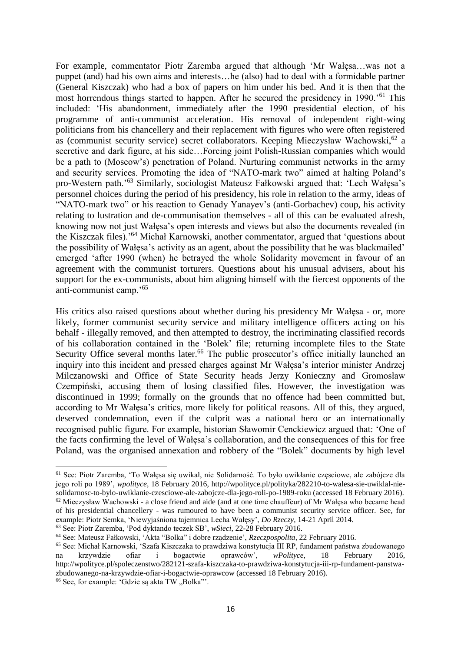For example, commentator Piotr Zaremba argued that although 'Mr Wałęsa…was not a puppet (and) had his own aims and interests…he (also) had to deal with a formidable partner (General Kiszczak) who had a box of papers on him under his bed. And it is then that the most horrendous things started to happen. After he secured the presidency in 1990.'<sup>61</sup> This included: 'His abandonment, immediately after the 1990 presidential election, of his programme of anti-communist acceleration. His removal of independent right-wing politicians from his chancellery and their replacement with figures who were often registered as (communist security service) secret collaborators. Keeping Mieczysław Wachowski,<sup>62</sup> a secretive and dark figure, at his side…Forcing joint Polish-Russian companies which would be a path to (Moscow's) penetration of Poland. Nurturing communist networks in the army and security services. Promoting the idea of "NATO-mark two" aimed at halting Poland's pro-Western path.'<sup>63</sup> Similarly, sociologist Mateusz Fałkowski argued that: 'Lech Wałęsa's personnel choices during the period of his presidency, his role in relation to the army, ideas of "NATO-mark two" or his reaction to Genady Yanayev's (anti-Gorbachev) coup, his activity relating to lustration and de-communisation themselves - all of this can be evaluated afresh, knowing now not just Wałęsa's open interests and views but also the documents revealed (in the Kiszczak files).'<sup>64</sup> Michał Karnowski, another commentator, argued that 'questions about the possibility of Wałęsa's activity as an agent, about the possibility that he was blackmailed' emerged 'after 1990 (when) he betrayed the whole Solidarity movement in favour of an agreement with the communist torturers. Questions about his unusual advisers, about his support for the ex-communists, about him aligning himself with the fiercest opponents of the anti-communist camp.'<sup>65</sup>

His critics also raised questions about whether during his presidency Mr Wałęsa - or, more likely, former communist security service and military intelligence officers acting on his behalf - illegally removed, and then attempted to destroy, the incriminating classified records of his collaboration contained in the 'Bolek' file; returning incomplete files to the State Security Office several months later.<sup>66</sup> The public prosecutor's office initially launched an inquiry into this incident and pressed charges against Mr Wałęsa's interior minister Andrzej Milczanowski and Office of State Security heads Jerzy Konieczny and Gromosław Czempiński, accusing them of losing classified files. However, the investigation was discontinued in 1999; formally on the grounds that no offence had been committed but, according to Mr Wałęsa's critics, more likely for political reasons. All of this, they argued, deserved condemnation, even if the culprit was a national hero or an internationally recognised public figure. For example, historian Sławomir Cenckiewicz argued that: 'One of the facts confirming the level of Wałęsa's collaboration, and the consequences of this for free Poland, was the organised annexation and robbery of the "Bolek" documents by high level

<sup>61</sup> See: Piotr Zaremba, 'To Wałęsa się uwikał, nie Solidarność. To było uwikłanie częsciowe, ale zabójcze dla jego roli po 1989', *wpolityce*, 18 February 2016, http://wpolityce.pl/polityka/282210-to-walesa-sie-uwiklal-niesolidarnosc-to-bylo-uwiklanie-czesciowe-ale-zabojcze-dla-jego-roli-po-1989-roku (accessed 18 February 2016).  $62$  Mieczysław Wachowski - a close friend and aide (and at one time chauffeur) of Mr Wałesa who became head of his presidential chancellery - was rumoured to have been a communist security service officer. See, for example: Piotr Semka, 'Niewyjaśniona tajemnica Lecha Wałęsy', *Do Rzeczy*, 14-21 April 2014.

<sup>63</sup> See: Piotr Zaremba, 'Pod dyktando teczek SB', *wSieci*, 22-28 February 2016.

<sup>64</sup> See: Mateusz Fałkowski, 'Akta "Bolka" i dobre rządzenie', *Rzeczpospolita*, 22 February 2016.

<sup>&</sup>lt;sup>65</sup> See: Michał Karnowski, 'Szafa Kiszczaka to prawdziwa konstytucja III RP, fundament państwa zbudowanego na krzywdzie ofiar i bogactwie oprawców', *wPolityce*, 18 February 2016, na krzywdzie ofiar i bogactwie oprawców', *wPolityce*, 18 February 2016, http://wpolityce.pl/spoleczenstwo/282121-szafa-kiszczaka-to-prawdziwa-konstytucja-iii-rp-fundament-panstwazbudowanego-na-krzywdzie-ofiar-i-bogactwie-oprawcow (accessed 18 February 2016).

 $66$  See, for example: 'Gdzie są akta TW "Bolka"'.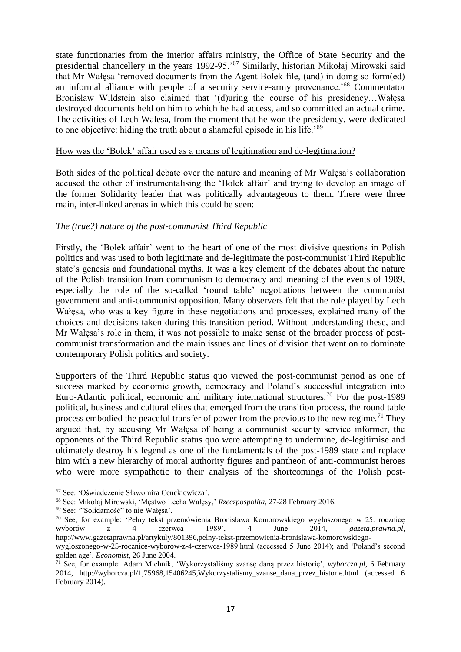state functionaries from the interior affairs ministry, the Office of State Security and the presidential chancellery in the years 1992-95.'<sup>67</sup> Similarly, historian Mikołaj Mirowski said that Mr Wałęsa 'removed documents from the Agent Bolek file, (and) in doing so form(ed) an informal alliance with people of a security service-army provenance.'<sup>68</sup> Commentator Bronisław Wildstein also claimed that '(d)uring the course of his presidency…Wałęsa destroyed documents held on him to which he had access, and so committed an actual crime. The activities of Lech Walesa, from the moment that he won the presidency, were dedicated to one objective: hiding the truth about a shameful episode in his life.'<sup>69</sup>

## How was the 'Bolek' affair used as a means of legitimation and de-legitimation?

Both sides of the political debate over the nature and meaning of Mr Wałęsa's collaboration accused the other of instrumentalising the 'Bolek affair' and trying to develop an image of the former Solidarity leader that was politically advantageous to them. There were three main, inter-linked arenas in which this could be seen:

## *The (true?) nature of the post-communist Third Republic*

Firstly, the 'Bolek affair' went to the heart of one of the most divisive questions in Polish politics and was used to both legitimate and de-legitimate the post-communist Third Republic state's genesis and foundational myths. It was a key element of the debates about the nature of the Polish transition from communism to democracy and meaning of the events of 1989, especially the role of the so-called 'round table' negotiations between the communist government and anti-communist opposition. Many observers felt that the role played by Lech Wałęsa, who was a key figure in these negotiations and processes, explained many of the choices and decisions taken during this transition period. Without understanding these, and Mr Wałęsa's role in them, it was not possible to make sense of the broader process of postcommunist transformation and the main issues and lines of division that went on to dominate contemporary Polish politics and society.

Supporters of the Third Republic status quo viewed the post-communist period as one of success marked by economic growth, democracy and Poland's successful integration into Euro-Atlantic political, economic and military international structures.<sup>70</sup> For the post-1989 political, business and cultural elites that emerged from the transition process, the round table process embodied the peaceful transfer of power from the previous to the new regime.<sup>71</sup> They argued that, by accusing Mr Wałęsa of being a communist security service informer, the opponents of the Third Republic status quo were attempting to undermine, de-legitimise and ultimately destroy his legend as one of the fundamentals of the post-1989 state and replace him with a new hierarchy of moral authority figures and pantheon of anti-communist heroes who were more sympathetic to their analysis of the shortcomings of the Polish post-

<sup>67</sup> See: 'Oświadczenie Sławomira Cenckiewicza'.

<sup>68</sup> See: Mikołaj Mirowski, 'Męstwo Lecha Wałęsy,' *Rzeczpospolita*, 27-28 February 2016.

<sup>69</sup> See: '"Solidarność" to nie Wałęsa'.

<sup>70</sup> See, for example: 'Pełny tekst przemówienia Bronisława Komorowskiego wygłoszonego w 25. rocznicę wyborów z 4 czerwca 1989', 4 June 2014, *gazeta.prawna.pl*, http://www.gazetaprawna.pl/artykuly/801396,pelny-tekst-przemowienia-bronislawa-komorowskiego-

wygloszonego-w-25-rocznice-wyborow-z-4-czerwca-1989.html (accessed 5 June 2014); and 'Poland's second golden age', *Economist*, 26 June 2004.

<sup>71</sup> See, for example: Adam Michnik, 'Wykorzystaliśmy szansę daną przez historię', *wyborcza.pl*, 6 February 2014, http://wyborcza.pl/1,75968,15406245,Wykorzystalismy\_szanse\_dana\_przez\_historie.html (accessed 6 February 2014).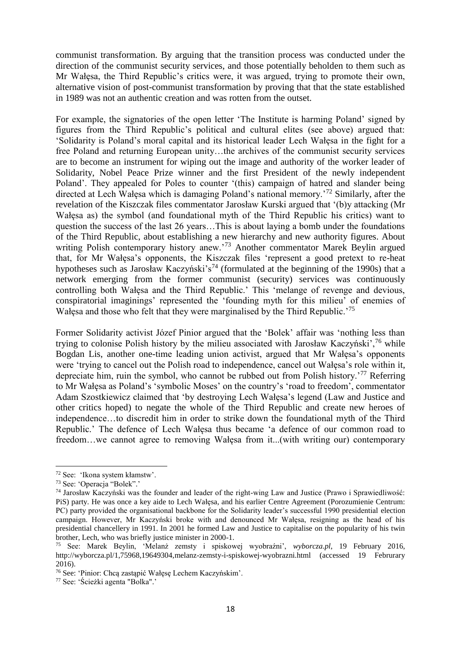communist transformation. By arguing that the transition process was conducted under the direction of the communist security services, and those potentially beholden to them such as Mr Wałęsa, the Third Republic's critics were, it was argued, trying to promote their own, alternative vision of post-communist transformation by proving that that the state established in 1989 was not an authentic creation and was rotten from the outset.

For example, the signatories of the open letter 'The Institute is harming Poland' signed by figures from the Third Republic's political and cultural elites (see above) argued that: 'Solidarity is Poland's moral capital and its historical leader Lech Wałęsa in the fight for a free Poland and returning European unity…the archives of the communist security services are to become an instrument for wiping out the image and authority of the worker leader of Solidarity, Nobel Peace Prize winner and the first President of the newly independent Poland'. They appealed for Poles to counter '(this) campaign of hatred and slander being directed at Lech Wałęsa which is damaging Poland's national memory.'<sup>72</sup> Similarly, after the revelation of the Kiszczak files commentator Jarosław Kurski argued that '(b)y attacking (Mr Wałęsa as) the symbol (and foundational myth of the Third Republic his critics) want to question the success of the last 26 years…This is about laying a bomb under the foundations of the Third Republic, about establishing a new hierarchy and new authority figures. About writing Polish contemporary history anew.'<sup>73</sup> Another commentator Marek Beylin argued that, for Mr Wałęsa's opponents, the Kiszczak files 'represent a good pretext to re-heat hypotheses such as Jarosław Kaczyński's<sup>74</sup> (formulated at the beginning of the 1990s) that a network emerging from the former communist (security) services was continuously controlling both Wałęsa and the Third Republic.' This 'melange of revenge and devious, conspiratorial imaginings' represented the 'founding myth for this milieu' of enemies of Wałęsa and those who felt that they were marginalised by the Third Republic.<sup>75</sup>

Former Solidarity activist Józef Pinior argued that the 'Bolek' affair was 'nothing less than trying to colonise Polish history by the milieu associated with Jarosław Kaczyński',<sup>76</sup> while Bogdan Lis, another one-time leading union activist, argued that Mr Wałęsa's opponents were 'trying to cancel out the Polish road to independence, cancel out Wałęsa's role within it, depreciate him, ruin the symbol, who cannot be rubbed out from Polish history.<sup>'77</sup> Referring to Mr Wałęsa as Poland's 'symbolic Moses' on the country's 'road to freedom', commentator Adam Szostkiewicz claimed that 'by destroying Lech Wałęsa's legend (Law and Justice and other critics hoped) to negate the whole of the Third Republic and create new heroes of independence…to discredit him in order to strike down the foundational myth of the Third Republic.' The defence of Lech Wałęsa thus became 'a defence of our common road to freedom…we cannot agree to removing Wałęsa from it...(with writing our) contemporary

<sup>72</sup> See: 'Ikona system kłamstw'.

<sup>73</sup> See: 'Operacja "Bolek".'

<sup>74</sup> Jarosław Kaczyński was the founder and leader of the right-wing Law and Justice (Prawo i Sprawiedliwość: PiS) party. He was once a key aide to Lech Wałęsa, and his earlier Centre Agreement (Porozumienie Centrum: PC) party provided the organisational backbone for the Solidarity leader's successful 1990 presidential election campaign. However, Mr Kaczyński broke with and denounced Mr Wałęsa, resigning as the head of his presidential chancellery in 1991. In 2001 he formed Law and Justice to capitalise on the popularity of his twin brother, Lech, who was briefly justice minister in 2000-1.

<sup>75</sup> See: Marek Beylin, 'Melanż zemsty i spiskowej wyobraźni', *wyborcza.pl*, 19 February 2016, http://wyborcza.pl/1,75968,19649304,melanz-zemsty-i-spiskowej-wyobrazni.html (accessed 19 Februrary 2016).

<sup>76</sup> See: 'Pinior: Chcą zastąpić Wałęsę Lechem Kaczyńskim'.

<sup>77</sup> See: 'Ścieżki agenta "Bolka".'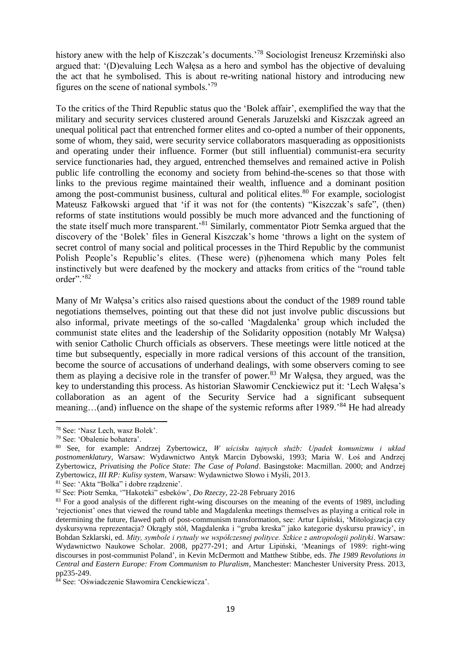history anew with the help of Kiszczak's documents.<sup>78</sup> Sociologist Ireneusz Krzemiński also argued that: '(D)evaluing Lech Wałęsa as a hero and symbol has the objective of devaluing the act that he symbolised. This is about re-writing national history and introducing new figures on the scene of national symbols.'<sup>79</sup>

To the critics of the Third Republic status quo the 'Bolek affair', exemplified the way that the military and security services clustered around Generals Jaruzelski and Kiszczak agreed an unequal political pact that entrenched former elites and co-opted a number of their opponents, some of whom, they said, were security service collaborators masquerading as oppositionists and operating under their influence. Former (but still influential) communist-era security service functionaries had, they argued, entrenched themselves and remained active in Polish public life controlling the economy and society from behind-the-scenes so that those with links to the previous regime maintained their wealth, influence and a dominant position among the post-communist business, cultural and political elites. $80$  For example, sociologist Mateusz Fałkowski argued that 'if it was not for (the contents) "Kiszczak's safe", (then) reforms of state institutions would possibly be much more advanced and the functioning of the state itself much more transparent.'<sup>81</sup> Similarly, commentator Piotr Semka argued that the discovery of the 'Bolek' files in General Kiszczak's home 'throws a light on the system of secret control of many social and political processes in the Third Republic by the communist Polish People's Republic's elites. (These were) (p)henomena which many Poles felt instinctively but were deafened by the mockery and attacks from critics of the "round table order".'<sup>82</sup>

Many of Mr Wałęsa's critics also raised questions about the conduct of the 1989 round table negotiations themselves, pointing out that these did not just involve public discussions but also informal, private meetings of the so-called 'Magdalenka' group which included the communist state elites and the leadership of the Solidarity opposition (notably Mr Wałęsa) with senior Catholic Church officials as observers. These meetings were little noticed at the time but subsequently, especially in more radical versions of this account of the transition, become the source of accusations of underhand dealings, with some observers coming to see them as playing a decisive role in the transfer of power.<sup>83</sup> Mr Wałęsa, they argued, was the key to understanding this process. As historian Sławomir Cenckiewicz put it: 'Lech Wałęsa's collaboration as an agent of the Security Service had a significant subsequent meaning...(and) influence on the shape of the systemic reforms after 1989.<sup>84</sup> He had already

 $\overline{\phantom{a}}$ 

<sup>78</sup> See: 'Nasz Lech, wasz Bolek'.

<sup>79</sup> See: 'Obalenie bohatera'.

<sup>80</sup> See, for example: Andrzej Zybertowicz, *W uścisku tajnych służb: Upadek komunizmu i układ postnomenklatury*, Warsaw: Wydawnictwo Antyk Marcin Dybowski, 1993; Maria W. Łoś and Andrzej Zybertowicz, *Privatising the Police State: The Case of Poland*. Basingstoke: Macmillan. 2000; and Andrzej Zybertowicz, *III RP: Kulisy system*, Warsaw: Wydawnictwo Słowo i Myśli, 2013.

<sup>81</sup> See: 'Akta "Bolka" i dobre rządzenie'.

<sup>82</sup> See: Piotr Semka, '"Hakoteki" esbeków', *Do Rzeczy*, 22-28 February 2016

<sup>&</sup>lt;sup>83</sup> For a good analysis of the different right-wing discourses on the meaning of the events of 1989, including 'rejectionist' ones that viewed the round table and Magdalenka meetings themselves as playing a critical role in determining the future, flawed path of post-communism transformation, see: Artur Lipiński, 'Mitologizacja czy dyskursywna reprezentacja? Okrągły stół, Magdalenka i "gruba kreska" jako kategorie dyskursu prawicy', in Bohdan Szklarski, ed. *Mity, symbole i rytualy we współczesnej polityce. Szkice z antropologii polityki*. Warsaw: Wydawnictwo Naukowe Scholar. 2008, pp277-291; and Artur Lipiński, 'Meanings of 1989: right-wing discourses in post-communist Poland', in Kevin McDermott and Matthew Stibbe, eds. *The 1989 Revolutions in Central and Eastern Europe: From Communism to Pluralism*, Manchester: Manchester University Press. 2013, pp235-249.

<sup>84</sup> See: 'Oświadczenie Sławomira Cenckiewicza'.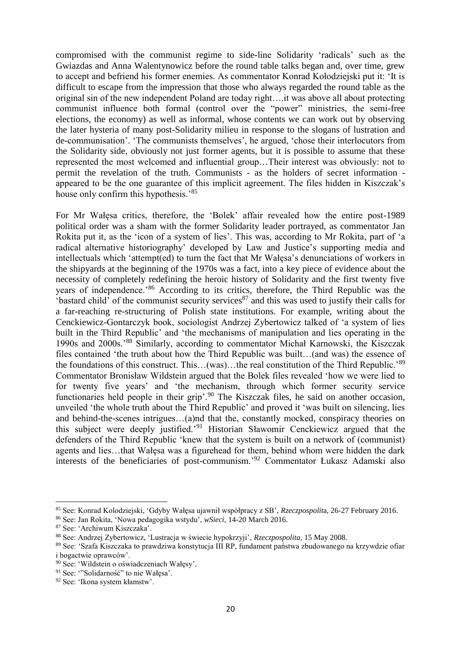compromised with the communist regime to side-line Solidarity 'radicals' such as the Gwiazdas and Anna Walentynowicz before the round table talks began and, over time, grew to accept and befriend his former enemies. As commentator Konrad Kołodziejski put it: 'It is difficult to escape from the impression that those who always regarded the round table as the original sin of the new independent Poland are today right….it was above all about protecting communist influence both formal (control over the "power" ministries, the semi-free elections, the economy) as well as informal, whose contents we can work out by observing the later hysteria of many post-Solidarity milieu in response to the slogans of lustration and de-communisation'. 'The communists themselves', he argued, 'chose their interlocutors from the Solidarity side, obviously not just former agents, but it is possible to assume that these represented the most welcomed and influential group…Their interest was obviously: not to permit the revelation of the truth. Communists - as the holders of secret information appeared to be the one guarantee of this implicit agreement. The files hidden in Kiszczak's house only confirm this hypothesis.'<sup>85</sup>

For Mr Wałęsa critics, therefore, the 'Bolek' affair revealed how the entire post-1989 political order was a sham with the former Solidarity leader portrayed, as commentator Jan Rokita put it, as the 'icon of a system of lies'. This was, according to Mr Rokita, part of 'a radical alternative historiography' developed by Law and Justice's supporting media and intellectuals which 'attempt(ed) to turn the fact that Mr Wałęsa's denunciations of workers in the shipyards at the beginning of the 1970s was a fact, into a key piece of evidence about the necessity of completely redefining the heroic history of Solidarity and the first twenty five years of independence.'<sup>86</sup> According to its critics, therefore, the Third Republic was the 'bastard child' of the communist security services $^{87}$  and this was used to justify their calls for a far-reaching re-structuring of Polish state institutions. For example, writing about the Cenckiewicz-Gontarczyk book, sociologist Andrzej Zybertowicz talked of 'a system of lies built in the Third Republic' and 'the mechanisms of manipulation and lies operating in the 1990s and 2000s.'<sup>88</sup> Similarly, according to commentator Michał Karnowski, the Kiszczak files contained 'the truth about how the Third Republic was built…(and was) the essence of the foundations of this construct. This…(was)…the real constitution of the Third Republic.'<sup>89</sup> Commentator Bronisław Wildstein argued that the Bolek files revealed 'how we were lied to for twenty five years' and 'the mechanism, through which former security service functionaries held people in their grip'.<sup>90</sup> The Kiszczak files, he said on another occasion, unveiled 'the whole truth about the Third Republic' and proved it 'was built on silencing, lies and behind-the-scenes intrigues…(a)nd that the, constantly mocked, conspiracy theories on this subject were deeply justified.'<sup>91</sup> Historian Sławomir Cenckiewicz argued that the defenders of the Third Republic 'knew that the system is built on a network of (communist) agents and lies…that Wałęsa was a figurehead for them, behind whom were hidden the dark interests of the beneficiaries of post-communism.<sup>'92</sup> Commentator Łukasz Adamski also

<sup>85</sup> See: Konrad Kolodziejski, 'Gdyby Wałęsa ujawnił współpracy z SB', *Rzeczpospolit*a, 26-27 February 2016.

<sup>86</sup> See: Jan Rokita, 'Nowa pedagogika wstydu', *wSieci*, 14-20 March 2016.

<sup>87</sup> See: 'Archiwum Kiszczaka'.

<sup>88</sup> See: Andrzej Zybertowicz, 'Lustracja w świecie hypokrzyji', *Rzeczpospolita*, 15 May 2008.

<sup>89</sup> See: 'Szafa Kiszczaka to prawdziwa konstytucja III RP, fundament państwa zbudowanego na krzywdzie ofiar i bogactwie oprawców'.

<sup>90</sup> See: 'Wildstein o oświadczeniach Wałęsy'.

<sup>91</sup> See: '"Solidarność" to nie Wałęsa'.

<sup>92</sup> See: 'Ikona system kłamstw'.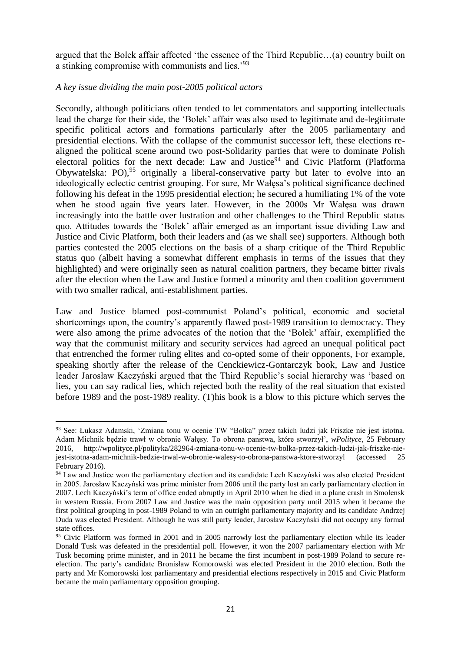argued that the Bolek affair affected 'the essence of the Third Republic…(a) country built on a stinking compromise with communists and lies.'<sup>93</sup>

## *A key issue dividing the main post-2005 political actors*

 $\overline{\phantom{a}}$ 

Secondly, although politicians often tended to let commentators and supporting intellectuals lead the charge for their side, the 'Bolek' affair was also used to legitimate and de-legitimate specific political actors and formations particularly after the 2005 parliamentary and presidential elections. With the collapse of the communist successor left, these elections realigned the political scene around two post-Solidarity parties that were to dominate Polish electoral politics for the next decade: Law and Justice<sup>94</sup> and Civic Platform (Platforma Obywatelska: PO),<sup>95</sup> originally a liberal-conservative party but later to evolve into an ideologically eclectic centrist grouping. For sure, Mr Wałęsa's political significance declined following his defeat in the 1995 presidential election; he secured a humiliating 1% of the vote when he stood again five years later. However, in the 2000s Mr Wałęsa was drawn increasingly into the battle over lustration and other challenges to the Third Republic status quo. Attitudes towards the 'Bolek' affair emerged as an important issue dividing Law and Justice and Civic Platform, both their leaders and (as we shall see) supporters. Although both parties contested the 2005 elections on the basis of a sharp critique of the Third Republic status quo (albeit having a somewhat different emphasis in terms of the issues that they highlighted) and were originally seen as natural coalition partners, they became bitter rivals after the election when the Law and Justice formed a minority and then coalition government with two smaller radical, anti-establishment parties.

Law and Justice blamed post-communist Poland's political, economic and societal shortcomings upon, the country's apparently flawed post-1989 transition to democracy. They were also among the prime advocates of the notion that the 'Bolek' affair, exemplified the way that the communist military and security services had agreed an unequal political pact that entrenched the former ruling elites and co-opted some of their opponents, For example, speaking shortly after the release of the Cenckiewicz-Gontarczyk book, Law and Justice leader Jarosław Kaczyński argued that the Third Republic's social hierarchy was 'based on lies, you can say radical lies, which rejected both the reality of the real situation that existed before 1989 and the post-1989 reality. (T)his book is a blow to this picture which serves the

<sup>93</sup> See: Łukasz Adamski, 'Zmiana tonu w ocenie TW "Bolka" przez takich ludzi jak Friszke nie jest istotna. Adam Michnik będzie trawł w obronie Wałęsy. To obrona panstwa, które stworzył', *wPolityce*, 25 February 2016, http://wpolityce.pl/polityka/282964-zmiana-tonu-w-ocenie-tw-bolka-przez-takich-ludzi-jak-friszke-niejest-istotna-adam-michnik-bedzie-trwal-w-obronie-walesy-to-obrona-panstwa-ktore-stworzyl (accessed 25 February 2016).

<sup>&</sup>lt;sup>94</sup> Law and Justice won the parliamentary election and its candidate Lech Kaczyński was also elected President in 2005. Jarosław Kaczyński was prime minister from 2006 until the party lost an early parliamentary election in 2007. Lech Kaczyński's term of office ended abruptly in April 2010 when he died in a plane crash in Smolensk in western Russia. From 2007 Law and Justice was the main opposition party until 2015 when it became the first political grouping in post-1989 Poland to win an outright parliamentary majority and its candidate Andrzej Duda was elected President. Although he was still party leader, Jarosław Kaczyński did not occupy any formal state offices.

<sup>&</sup>lt;sup>95</sup> Civic Platform was formed in 2001 and in 2005 narrowly lost the parliamentary election while its leader Donald Tusk was defeated in the presidential poll. However, it won the 2007 parliamentary election with Mr Tusk becoming prime minister, and in 2011 he became the first incumbent in post-1989 Poland to secure reelection. The party's candidate Bronisław Komorowski was elected President in the 2010 election. Both the party and Mr Komorowski lost parliamentary and presidential elections respectively in 2015 and Civic Platform became the main parliamentary opposition grouping.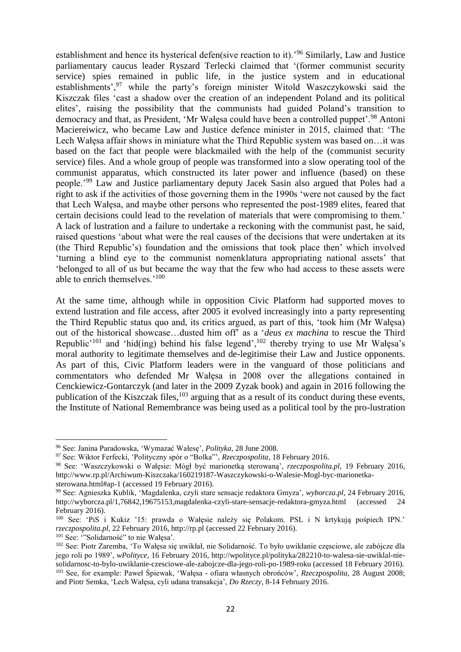establishment and hence its hysterical defen(sive reaction to it).'<sup>96</sup> Similarly, Law and Justice parliamentary caucus leader Ryszard Terlecki claimed that '(former communist security service) spies remained in public life, in the justice system and in educational establishments',<sup>97</sup> while the party's foreign minister Witold Waszczykowski said the Kiszczak files 'cast a shadow over the creation of an independent Poland and its political elites', raising the possibility that the communists had guided Poland's transition to democracy and that, as President, 'Mr Wałęsa could have been a controlled puppet'.<sup>98</sup> Antoni Maciereiwicz, who became Law and Justice defence minister in 2015, claimed that: 'The Lech Wałęsa affair shows in miniature what the Third Republic system was based on…it was based on the fact that people were blackmailed with the help of the (communist security service) files. And a whole group of people was transformed into a slow operating tool of the communist apparatus, which constructed its later power and influence (based) on these people.'<sup>99</sup> Law and Justice parliamentary deputy Jacek Sasin also argued that Poles had a right to ask if the activities of those governing them in the 1990s 'were not caused by the fact that Lech Wałęsa, and maybe other persons who represented the post-1989 elites, feared that certain decisions could lead to the revelation of materials that were compromising to them.' A lack of lustration and a failure to undertake a reckoning with the communist past, he said, raised questions 'about what were the real causes of the decisions that were undertaken at its (the Third Republic's) foundation and the omissions that took place then' which involved 'turning a blind eye to the communist nomenklatura appropriating national assets' that 'belonged to all of us but became the way that the few who had access to these assets were able to enrich themselves.'<sup>100</sup>

At the same time, although while in opposition Civic Platform had supported moves to extend lustration and file access, after 2005 it evolved increasingly into a party representing the Third Republic status quo and, its critics argued, as part of this, 'took him (Mr Wałęsa) out of the historical showcase…dusted him off' as a '*deus ex machina* to rescue the Third Republic'<sup>101</sup> and 'hid(ing) behind his false legend',<sup>102</sup> thereby trying to use Mr Wałęsa's moral authority to legitimate themselves and de-legitimise their Law and Justice opponents. As part of this, Civic Platform leaders were in the vanguard of those politicians and commentators who defended Mr Wałęsa in 2008 over the allegations contained in Cenckiewicz-Gontarczyk (and later in the 2009 Zyzak book) and again in 2016 following the publication of the Kiszczak files,  $103$  arguing that as a result of its conduct during these events, the Institute of National Remembrance was being used as a political tool by the pro-lustration

<sup>96</sup> See: Janina Paradowska, 'Wymazać Wałesę', *Polityka*, 28 June 2008.

<sup>97</sup> See: Wiktor Ferfecki, 'Polityczny spór o "Bolka"', *Rzeczpospolita*, 18 February 2016.

<sup>98</sup> See: 'Waszczykowski o Wałęsie: Mógł być marionetką sterowaną', *rzeczpospolita.pl*, 19 February 2016, http://www.rp.pl/Archiwum-Kiszczaka/160219187-Waszczykowski-o-Walesie-Mogl-byc-marionetkasterowana.html#ap-1 (accessed 19 February 2016).

<sup>99</sup> See: Agnieszka Kublik, 'Magdalenka, czyli stare sensacje redaktora Gmyza', *wyborcza.pl*, 24 February 2016, http://wyborcza.pl/1,76842,19675153,magdalenka-czyli-stare-sensacje-redaktora-gmyza.html (accessed 24 February 2016).

<sup>100</sup> See: 'PiS i Kukiz '15: prawda o Wałęsie należy się Polakom. PSL i N krtykują pośpiech IPN.' *rzeczpospolita.pl*, 22 February 2016, http://rp.pl (accessed 22 February 2016).

<sup>101</sup> See: '"Solidarność" to nie Wałęsa'.

<sup>102</sup> See: Piotr Zaremba, 'To Wałęsa się uwikłał, nie Solidarność. To było uwikłanie częsciowe, ale zabójcze dla jego roli po 1989', *wPolityce*, 16 February 2016, http://wpolityce.pl/polityka/282210-to-walesa-sie-uwiklal-niesolidarnosc-to-bylo-uwiklanie-czesciowe-ale-zabojcze-dla-jego-roli-po-1989-roku (accessed 18 February 2016). <sup>103</sup> See, for example: Paweł Śpiewak, 'Wałęsa - ofiara własnych obrońców', *Rzeczpospolita*, 28 August 2008; and Piotr Semka, 'Lech Wałęsa, cyli udana transakcja', *Do Rzeczy*, 8-14 February 2016.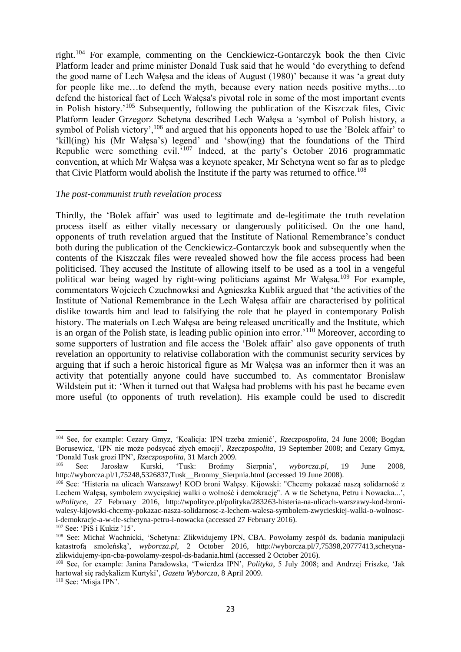right.<sup>104</sup> For example, commenting on the Cenckiewicz-Gontarczyk book the then Civic Platform leader and prime minister Donald Tusk said that he would 'do everything to defend the good name of Lech Wałęsa and the ideas of August (1980)' because it was 'a great duty for people like me…to defend the myth, because every nation needs positive myths…to defend the historical fact of Lech Wałęsa's pivotal role in some of the most important events in Polish history.'<sup>105</sup> Subsequently, following the publication of the Kiszczak files, Civic Platform leader Grzegorz Schetyna described Lech Wałęsa a 'symbol of Polish history, a symbol of Polish victory',<sup>106</sup> and argued that his opponents hoped to use the 'Bolek affair' to 'kill(ing) his (Mr Wałęsa's) legend' and 'show(ing) that the foundations of the Third Republic were something evil.'<sup>107</sup> Indeed, at the party's October 2016 programmatic convention, at which Mr Wałęsa was a keynote speaker, Mr Schetyna went so far as to pledge that Civic Platform would abolish the Institute if the party was returned to office.<sup>108</sup>

#### *The post-communist truth revelation process*

Thirdly, the 'Bolek affair' was used to legitimate and de-legitimate the truth revelation process itself as either vitally necessary or dangerously politicised. On the one hand, opponents of truth revelation argued that the Institute of National Remembrance's conduct both during the publication of the Cenckiewicz-Gontarczyk book and subsequently when the contents of the Kiszczak files were revealed showed how the file access process had been politicised. They accused the Institute of allowing itself to be used as a tool in a vengeful political war being waged by right-wing politicians against Mr Wałęsa.<sup>109</sup> For example, commentators Wojciech Czuchnowksi and Agnieszka Kublik argued that 'the activities of the Institute of National Remembrance in the Lech Wałęsa affair are characterised by political dislike towards him and lead to falsifying the role that he played in contemporary Polish history. The materials on Lech Wałęsa are being released uncritically and the Institute, which is an organ of the Polish state, is leading public opinion into error.<sup>'110</sup> Moreover, according to some supporters of lustration and file access the 'Bolek affair' also gave opponents of truth revelation an opportunity to relativise collaboration with the communist security services by arguing that if such a heroic historical figure as Mr Wałęsa was an informer then it was an activity that potentially anyone could have succumbed to. As commentator Bronisław Wildstein put it: 'When it turned out that Wałęsa had problems with his past he became even more useful (to opponents of truth revelation). His example could be used to discredit

<sup>104</sup> See, for example: Cezary Gmyz, 'Koalicja: IPN trzeba zmienić', *Rzeczpospolita*, 24 June 2008; Bogdan Borusewicz, 'IPN nie może podsycać złych emocji', *Rzeczpospolita*, 19 September 2008; and Cezary Gmyz, 'Donald Tusk grozi IPN', *Rzeczpospolita*, 31 March 2009.

<sup>105</sup> See: Jarosław Kurski, 'Tusk: Brońmy Sierpnia', *wyborcza.pl*, 19 June 2008, http://wyborcza.pl/1,75248,5326837,Tusk\_\_Bronmy\_Sierpnia.html (accessed 19 June 2008).

<sup>&</sup>lt;sup>106</sup> See: 'Histeria na ulicach Warszawy! KOD broni Wałęsy. Kijowski: "Chcemy pokazać naszą solidarność z Lechem Wałęsą, symbolem zwycięskiej walki o wolność i demokrację". A w tle Schetyna, Petru i Nowacka...', *wPolityce*, 27 February 2016, http://wpolityce.pl/polityka/283263-histeria-na-ulicach-warszawy-kod-broniwalesy-kijowski-chcemy-pokazac-nasza-solidarnosc-z-lechem-walesa-symbolem-zwycieskiej-walki-o-wolnosci-demokracje-a-w-tle-schetyna-petru-i-nowacka (accessed 27 February 2016).

<sup>107</sup> See: 'PiS i Kukiz '15'.

<sup>108</sup> See: Michał Wachnicki, 'Schetyna: Zlikwidujemy IPN, CBA. Powołamy zespół ds. badania manipulacji katastrofą smoleńską', *wyborcza.pl*, 2 October 2016, http://wyborcza.pl/7,75398,20777413,schetynazlikwidujemy-ipn-cba-powolamy-zespol-ds-badania.html (accessed 2 October 2016).

<sup>109</sup> See, for example: Janina Paradowska, 'Twierdza IPN', *Polityka*, 5 July 2008; and Andrzej Friszke, 'Jak hartował się radykalizm Kurtyki', *Gazeta Wyborcza*, 8 April 2009.

<sup>110</sup> See: 'Misja IPN'.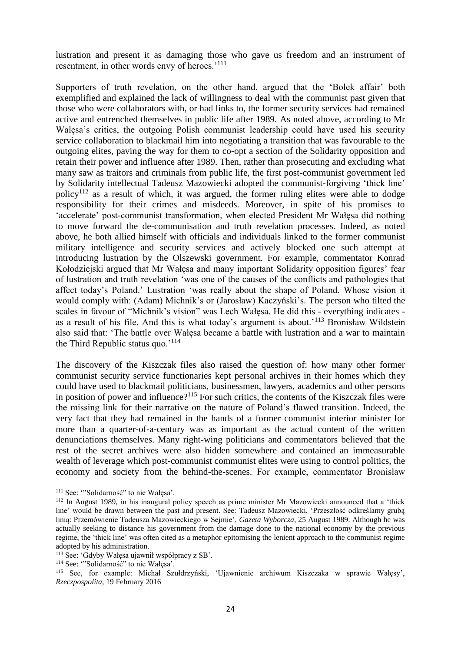lustration and present it as damaging those who gave us freedom and an instrument of resentment, in other words envy of heroes.'<sup>111</sup>

Supporters of truth revelation, on the other hand, argued that the 'Bolek affair' both exemplified and explained the lack of willingness to deal with the communist past given that those who were collaborators with, or had links to, the former security services had remained active and entrenched themselves in public life after 1989. As noted above, according to Mr Wałęsa's critics, the outgoing Polish communist leadership could have used his security service collaboration to blackmail him into negotiating a transition that was favourable to the outgoing elites, paving the way for them to co-opt a section of the Solidarity opposition and retain their power and influence after 1989. Then, rather than prosecuting and excluding what many saw as traitors and criminals from public life, the first post-communist government led by Solidarity intellectual Tadeusz Mazowiecki adopted the communist-forgiving 'thick line' policy<sup>112</sup> as a result of which, it was argued, the former ruling elites were able to dodge responsibility for their crimes and misdeeds. Moreover, in spite of his promises to 'accelerate' post-communist transformation, when elected President Mr Wałęsa did nothing to move forward the de-communisation and truth revelation processes. Indeed, as noted above, he both allied himself with officials and individuals linked to the former communist military intelligence and security services and actively blocked one such attempt at introducing lustration by the Olszewski government. For example, commentator Konrad Kołodziejski argued that Mr Wałęsa and many important Solidarity opposition figures' fear of lustration and truth revelation 'was one of the causes of the conflicts and pathologies that affect today's Poland.' Lustration 'was really about the shape of Poland. Whose vision it would comply with: (Adam) Michnik's or (Jarosław) Kaczyński's. The person who tilted the scales in favour of "Michnik's vision" was Lech Wałęsa. He did this - everything indicates as a result of his file. And this is what today's argument is about.'<sup>113</sup> Bronisław Wildstein also said that: 'The battle over Wałęsa became a battle with lustration and a war to maintain the Third Republic status quo.'<sup>114</sup>

The discovery of the Kiszczak files also raised the question of: how many other former communist security service functionaries kept personal archives in their homes which they could have used to blackmail politicians, businessmen, lawyers, academics and other persons in position of power and influence?<sup>115</sup> For such critics, the contents of the Kiszczak files were the missing link for their narrative on the nature of Poland's flawed transition. Indeed, the very fact that they had remained in the hands of a former communist interior minister for more than a quarter-of-a-century was as important as the actual content of the written denunciations themselves. Many right-wing politicians and commentators believed that the rest of the secret archives were also hidden somewhere and contained an immeasurable wealth of leverage which post-communist communist elites were using to control politics, the economy and society from the behind-the-scenes. For example, commentator Bronisław

<sup>&</sup>lt;sup>111</sup> See: "Solidarność" to nie Wałęsa'.

<sup>112</sup> In August 1989, in his inaugural policy speech as prime minister Mr Mazowiecki announced that a 'thick line' would be drawn between the past and present. See: Tadeusz Mazowiecki, 'Przeszłość odkreślamy grubą linią: Przemówienie Tadeusza Mazowieckiego w Sejmie', *Gazeta Wyborcza*, 25 August 1989. Although he was actually seeking to distance his government from the damage done to the national economy by the previous regime, the 'thick line' was often cited as a metaphor epitomising the lenient approach to the communist regime adopted by his administration.

<sup>113</sup> See: 'Gdyby Wałęsa ujawnił współpracy z SB'.

<sup>114</sup> See: '"Solidarność" to nie Wałęsa'.

<sup>115</sup> See, for example: Michał Szułdrzyński, 'Ujawnienie archiwum Kiszczaka w sprawie Wałęsy', *Rzeczpospolita*, 19 February 2016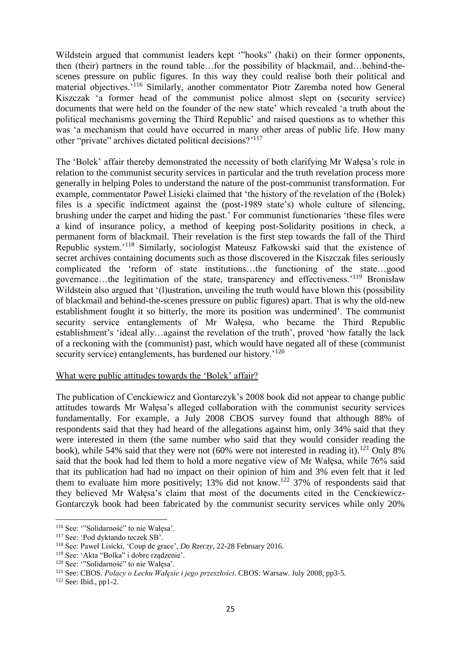Wildstein argued that communist leaders kept '"hooks" (haki) on their former opponents, then (their) partners in the round table…for the possibility of blackmail, and…behind-thescenes pressure on public figures. In this way they could realise both their political and material objectives.'<sup>116</sup> Similarly, another commentator Piotr Zaremba noted how General Kiszczak 'a former head of the communist police almost slept on (security service) documents that were held on the founder of the new state' which revealed 'a truth about the political mechanisms governing the Third Republic' and raised questions as to whether this was 'a mechanism that could have occurred in many other areas of public life. How many other "private" archives dictated political decisions?<sup>'117</sup>

The 'Bolek' affair thereby demonstrated the necessity of both clarifying Mr Wałęsa's role in relation to the communist security services in particular and the truth revelation process more generally in helping Poles to understand the nature of the post-communist transformation. For example, commentator Paweł Lisicki claimed that 'the history of the revelation of the (Bolek) files is a specific indictment against the (post-1989 state's) whole culture of silencing, brushing under the carpet and hiding the past.' For communist functionaries 'these files were a kind of insurance policy, a method of keeping post-Solidarity positions in check, a permanent form of blackmail. Their revelation is the first step towards the fall of the Third Republic system.'<sup>118</sup> Similarly, sociologist Mateusz Fałkowski said that the existence of secret archives containing documents such as those discovered in the Kiszczak files seriously complicated the 'reform of state institutions…the functioning of the state…good governance…the legitimation of the state, transparency and effectiveness.'<sup>119</sup> Bronisław Wildstein also argued that '(l)ustration, unveiling the truth would have blown this (possibility of blackmail and behind-the-scenes pressure on public figures) apart. That is why the old-new establishment fought it so bitterly, the more its position was undermined'. The communist security service entanglements of Mr Wałęsa, who became the Third Republic establishment's 'ideal ally…against the revelation of the truth', proved 'how fatally the lack of a reckoning with the (communist) past, which would have negated all of these (communist security service) entanglements, has burdened our history.<sup>'120</sup>

## What were public attitudes towards the 'Bolek' affair?

The publication of Cenckiewicz and Gontarczyk's 2008 book did not appear to change public attitudes towards Mr Wałęsa's alleged collaboration with the communist security services fundamentally. For example, a July 2008 CBOS survey found that although 88% of respondents said that they had heard of the allegations against him, only 34% said that they were interested in them (the same number who said that they would consider reading the book), while 54% said that they were not (60% were not interested in reading it).<sup>121</sup> Only 8% said that the book had led them to hold a more negative view of Mr Wałęsa, while 76% said that its publication had had no impact on their opinion of him and 3% even felt that it led them to evaluate him more positively; 13% did not know.<sup>122</sup> 37% of respondents said that they believed Mr Wałęsa's claim that most of the documents cited in the Cenckiewicz-Gontarczyk book had been fabricated by the communist security services while only 20%

<sup>116</sup> See: '"Solidarność" to nie Wałęsa'.

<sup>117</sup> See: 'Pod dyktando teczek SB'.

<sup>118</sup> See: Paweł Lisicki, 'Coup de grace', *Do Rzeczy*, 22-28 February 2016.

<sup>119</sup> See: 'Akta "Bolka" i dobre rządzenie'.

<sup>120</sup> See: '"Solidarność" to nie Wałęsa'.

<sup>121</sup> See: CBOS. *Polacy o Lechu Wałęsie i jego przeszłości*. CBOS: Warsaw. July 2008, pp3-5.

<sup>122</sup> See: Ibid., pp1-2.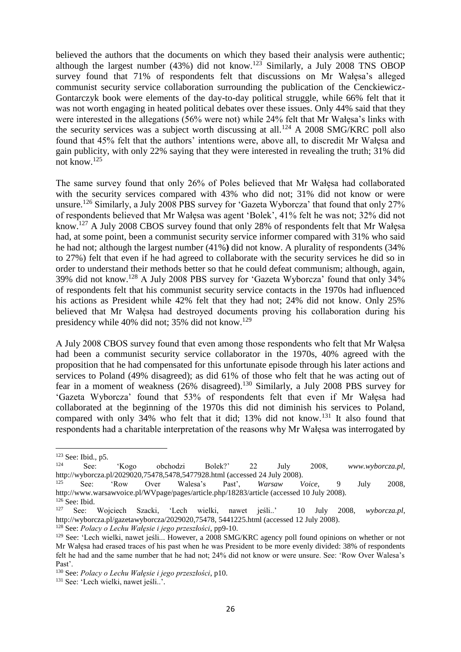believed the authors that the documents on which they based their analysis were authentic; although the largest number (43%) did not know.<sup>123</sup> Similarly, a July 2008 TNS OBOP survey found that 71% of respondents felt that discussions on Mr Wałęsa's alleged communist security service collaboration surrounding the publication of the Cenckiewicz-Gontarczyk book were elements of the day-to-day political struggle, while 66% felt that it was not worth engaging in heated political debates over these issues. Only 44% said that they were interested in the allegations (56% were not) while 24% felt that Mr Wałęsa's links with the security services was a subject worth discussing at all.<sup>124</sup> A 2008 SMG/KRC poll also found that 45% felt that the authors' intentions were, above all, to discredit Mr Wałęsa and gain publicity, with only 22% saying that they were interested in revealing the truth; 31% did not know.<sup>125</sup>

The same survey found that only 26% of Poles believed that Mr Wałęsa had collaborated with the security services compared with 43% who did not; 31% did not know or were unsure.<sup>126</sup> Similarly, a July 2008 PBS survey for 'Gazeta Wyborcza' that found that only 27% of respondents believed that Mr Wałęsa was agent 'Bolek', 41% felt he was not; 32% did not know.<sup>127</sup> A July 2008 CBOS survey found that only 28% of respondents felt that Mr Wałęsa had, at some point, been a communist security service informer compared with 31% who said he had not; although the largest number (41%**)** did not know. A plurality of respondents (34% to 27%) felt that even if he had agreed to collaborate with the security services he did so in order to understand their methods better so that he could defeat communism; although, again, 39% did not know.<sup>128</sup> A July 2008 PBS survey for 'Gazeta Wyborcza' found that only 34% of respondents felt that his communist security service contacts in the 1970s had influenced his actions as President while 42% felt that they had not; 24% did not know. Only 25% believed that Mr Wałęsa had destroyed documents proving his collaboration during his presidency while  $40\%$  did not; 35% did not know.<sup>129</sup>

A July 2008 CBOS survey found that even among those respondents who felt that Mr Wałęsa had been a communist security service collaborator in the 1970s, 40% agreed with the proposition that he had compensated for this unfortunate episode through his later actions and services to Poland (49% disagreed); as did 61% of those who felt that he was acting out of fear in a moment of weakness (26% disagreed).<sup>130</sup> Similarly, a July 2008 PBS survey for 'Gazeta Wyborcza' found that 53% of respondents felt that even if Mr Wałęsa had collaborated at the beginning of the 1970s this did not diminish his services to Poland, compared with only  $34\%$  who felt that it did;  $13\%$  did not know.<sup>131</sup> It also found that respondents had a charitable interpretation of the reasons why Mr Wałęsa was interrogated by

 $^{123}_{124}$  See: Ibid., p5.

<sup>124</sup> See: 'Kogo obchodzi Bolek?' 22 July 2008, *www.wyborcza.pl*, http://wyborcza.pl/2029020,75478,5478,5477928.html (accessed 24 July 2008).

<sup>125</sup> See: 'Row Over Walesa's Past', *Warsaw Voice*, 9 July 2008, http://www.warsawvoice.pl/WVpage/pages/article.php/18283/article (accessed 10 July 2008).  $\frac{126}{127}$  See: Ibid.

<sup>127</sup> See: Wojciech Szacki, 'Lech wielki, nawet jeśli..' 10 July 2008, *wyborcza.pl*, http://wyborcza.pl/gazetawyborcza/2029020,75478, 5441225.html (accessed 12 July 2008).

<sup>128</sup> See: *Polacy o Lechu Wałęsie i jego przeszłości*, pp9-10.

<sup>&</sup>lt;sup>129</sup> See: 'Lech wielki, nawet jeśli... However, a 2008 SMG/KRC agency poll found opinions on whether or not Mr Wałęsa had erased traces of his past when he was President to be more evenly divided: 38% of respondents felt he had and the same number that he had not; 24% did not know or were unsure. See: 'Row Over Walesa's Past'.

<sup>130</sup> See: *Polacy o Lechu Wałęsie i jego przeszłości*, p10.

<sup>&</sup>lt;sup>131</sup> See: 'Lech wielki, nawet jeśli..'.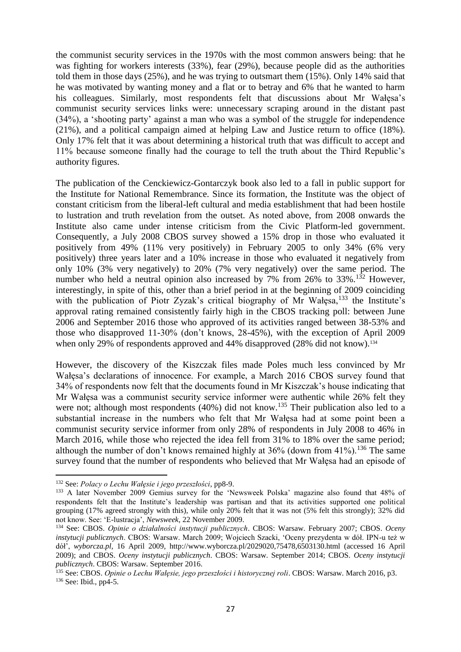the communist security services in the 1970s with the most common answers being: that he was fighting for workers interests (33%), fear (29%), because people did as the authorities told them in those days (25%), and he was trying to outsmart them (15%). Only 14% said that he was motivated by wanting money and a flat or to betray and 6% that he wanted to harm his colleagues. Similarly, most respondents felt that discussions about Mr Wałęsa's communist security services links were: unnecessary scraping around in the distant past (34%), a 'shooting party' against a man who was a symbol of the struggle for independence (21%), and a political campaign aimed at helping Law and Justice return to office (18%). Only 17% felt that it was about determining a historical truth that was difficult to accept and 11% because someone finally had the courage to tell the truth about the Third Republic's authority figures.

The publication of the Cenckiewicz-Gontarczyk book also led to a fall in public support for the Institute for National Remembrance. Since its formation, the Institute was the object of constant criticism from the liberal-left cultural and media establishment that had been hostile to lustration and truth revelation from the outset. As noted above, from 2008 onwards the Institute also came under intense criticism from the Civic Platform-led government. Consequently, a July 2008 CBOS survey showed a 15% drop in those who evaluated it positively from 49% (11% very positively) in February 2005 to only 34% (6% very positively) three years later and a 10% increase in those who evaluated it negatively from only 10% (3% very negatively) to 20% (7% very negatively) over the same period. The number who held a neutral opinion also increased by 7% from 26% to  $33\%$ .<sup>132</sup> However, interestingly, in spite of this, other than a brief period in at the beginning of 2009 coinciding with the publication of Piotr Zyzak's critical biography of Mr Wałęsa, $^{133}$  the Institute's approval rating remained consistently fairly high in the CBOS tracking poll: between June 2006 and September 2016 those who approved of its activities ranged between 38-53% and those who disapproved 11-30% (don't knows, 28-45%), with the exception of April 2009 when only 29% of respondents approved and 44% disapproved (28% did not know).<sup>134</sup>

However, the discovery of the Kiszczak files made Poles much less convinced by Mr Wałęsa's declarations of innocence. For example, a March 2016 CBOS survey found that 34% of respondents now felt that the documents found in Mr Kiszczak's house indicating that Mr Wałęsa was a communist security service informer were authentic while 26% felt they were not; although most respondents (40%) did not know.<sup>135</sup> Their publication also led to a substantial increase in the numbers who felt that Mr Wałęsa had at some point been a communist security service informer from only 28% of respondents in July 2008 to 46% in March 2016, while those who rejected the idea fell from 31% to 18% over the same period; although the number of don't knows remained highly at  $36\%$  (down from  $41\%$ ).<sup>136</sup> The same survey found that the number of respondents who believed that Mr Wałęsa had an episode of

<sup>132</sup> See: *Polacy o Lechu Wałęsie i jego przeszłości*, pp8-9.

<sup>&</sup>lt;sup>133</sup> A later November 2009 Gemius survey for the 'Newsweek Polska' magazine also found that 48% of respondents felt that the Institute's leadership was partisan and that its activities supported one political grouping (17% agreed strongly with this), while only 20% felt that it was not (5% felt this strongly); 32% did not know. See: 'E-lustracja', *Newsweek*, 22 November 2009.

<sup>134</sup> See: CBOS. *Opinie o działalności instytucji publicznych*. CBOS: Warsaw. February 2007; CBOS. *Oceny instytucji publicznych*. CBOS: Warsaw. March 2009; Wojciech Szacki, 'Oceny prezydenta w dół. IPN-u też w dół', *wyborcza.pl*, 16 April 2009, http://www.wyborcza.pl/2029020,75478,6503130.html (accessed 16 April 2009); and CBOS. *Oceny instytucji publicznych*. CBOS: Warsaw. September 2014; CBOS. *Oceny instytucji publicznych*. CBOS: Warsaw. September 2016.

<sup>135</sup> See: CBOS. *Opinie o Lechu Wałęsie, jego przeszłości i historycznej roli*. CBOS: Warsaw. March 2016, p3. <sup>136</sup> See: Ibid., pp4-5.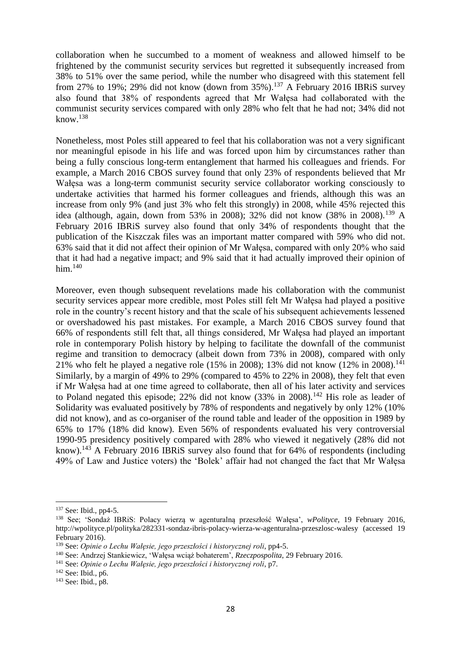collaboration when he succumbed to a moment of weakness and allowed himself to be frightened by the communist security services but regretted it subsequently increased from 38% to 51% over the same period, while the number who disagreed with this statement fell from 27% to 19%; 29% did not know (down from  $35\%$ ).<sup>137</sup> A February 2016 IBRiS survey also found that 38% of respondents agreed that Mr Wałęsa had collaborated with the communist security services compared with only 28% who felt that he had not; 34% did not know. $138$ 

Nonetheless, most Poles still appeared to feel that his collaboration was not a very significant nor meaningful episode in his life and was forced upon him by circumstances rather than being a fully conscious long-term entanglement that harmed his colleagues and friends. For example, a March 2016 CBOS survey found that only 23% of respondents believed that Mr Wałęsa was a long-term communist security service collaborator working consciously to undertake activities that harmed his former colleagues and friends, although this was an increase from only 9% (and just 3% who felt this strongly) in 2008, while 45% rejected this idea (although, again, down from 53% in 2008); 32% did not know  $(38\%$  in 2008).<sup>139</sup> A February 2016 IBRiS survey also found that only 34% of respondents thought that the publication of the Kiszczak files was an important matter compared with 59% who did not. 63% said that it did not affect their opinion of Mr Wałęsa, compared with only 20% who said that it had had a negative impact; and 9% said that it had actually improved their opinion of him. $140$ 

Moreover, even though subsequent revelations made his collaboration with the communist security services appear more credible, most Poles still felt Mr Wałęsa had played a positive role in the country's recent history and that the scale of his subsequent achievements lessened or overshadowed his past mistakes. For example, a March 2016 CBOS survey found that 66% of respondents still felt that, all things considered, Mr Wałęsa had played an important role in contemporary Polish history by helping to facilitate the downfall of the communist regime and transition to democracy (albeit down from 73% in 2008), compared with only 21% who felt he played a negative role (15% in 2008); 13% did not know (12% in 2008).<sup>141</sup> Similarly, by a margin of 49% to 29% (compared to 45% to 22% in 2008), they felt that even if Mr Wałęsa had at one time agreed to collaborate, then all of his later activity and services to Poland negated this episode; 22% did not know  $(33\%$  in 2008).<sup>142</sup> His role as leader of Solidarity was evaluated positively by 78% of respondents and negatively by only 12% (10% did not know), and as co-organiser of the round table and leader of the opposition in 1989 by 65% to 17% (18% did know). Even 56% of respondents evaluated his very controversial 1990-95 presidency positively compared with 28% who viewed it negatively (28% did not know).<sup>143</sup> A February 2016 IBRiS survey also found that for  $64\%$  of respondents (including 49% of Law and Justice voters) the 'Bolek' affair had not changed the fact that Mr Wałęsa

<sup>137</sup> See: Ibid., pp4-5.

<sup>138</sup> See; 'Sondaż IBRiS: Polacy wierzą w agenturalną przeszłość Wałęsa', *wPolityce*, 19 February 2016, http://wpolityce.pl/polityka/282331-sondaz-ibris-polacy-wierza-w-agenturalna-przeszlosc-walesy (accessed 19 February 2016).

<sup>139</sup> See: *Opinie o Lechu Wałęsie, jego przeszłości i historycznej roli*, pp4-5.

<sup>140</sup> See: Andrzej Stankiewicz, 'Wałęsa wciąż bohaterem', *Rzeczpospolita*, 29 February 2016.

<sup>141</sup> See: *Opinie o Lechu Wałęsie, jego przeszłości i historycznej roli*, p7.

<sup>142</sup> See: Ibid., p6.

<sup>143</sup> See: Ibid., p8.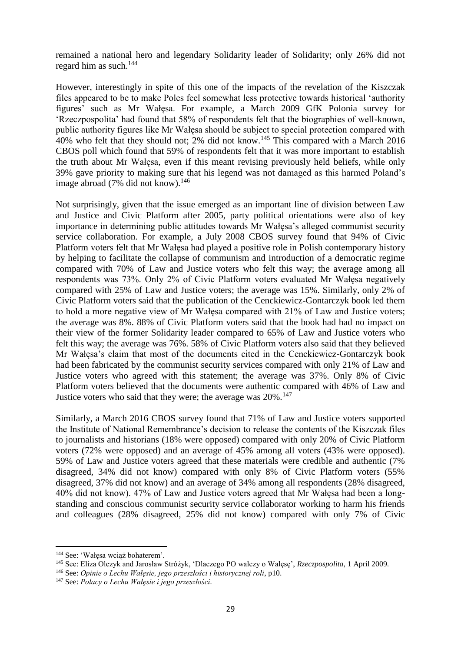remained a national hero and legendary Solidarity leader of Solidarity; only 26% did not regard him as such.<sup>144</sup>

However, interestingly in spite of this one of the impacts of the revelation of the Kiszczak files appeared to be to make Poles feel somewhat less protective towards historical 'authority figures' such as Mr Wałęsa. For example, a March 2009 GfK Polonia survey for 'Rzeczpospolita' had found that 58% of respondents felt that the biographies of well-known, public authority figures like Mr Wałęsa should be subject to special protection compared with 40% who felt that they should not; 2% did not know.<sup>145</sup> This compared with a March 2016 CBOS poll which found that 59% of respondents felt that it was more important to establish the truth about Mr Wałęsa, even if this meant revising previously held beliefs, while only 39% gave priority to making sure that his legend was not damaged as this harmed Poland's image abroad  $(7\%$  did not know).<sup>146</sup>

Not surprisingly, given that the issue emerged as an important line of division between Law and Justice and Civic Platform after 2005, party political orientations were also of key importance in determining public attitudes towards Mr Wałęsa's alleged communist security service collaboration. For example, a July 2008 CBOS survey found that 94% of Civic Platform voters felt that Mr Wałęsa had played a positive role in Polish contemporary history by helping to facilitate the collapse of communism and introduction of a democratic regime compared with 70% of Law and Justice voters who felt this way; the average among all respondents was 73%. Only 2% of Civic Platform voters evaluated Mr Wałęsa negatively compared with 25% of Law and Justice voters; the average was 15%. Similarly, only 2% of Civic Platform voters said that the publication of the Cenckiewicz-Gontarczyk book led them to hold a more negative view of Mr Wałęsa compared with 21% of Law and Justice voters; the average was 8%. 88% of Civic Platform voters said that the book had had no impact on their view of the former Solidarity leader compared to 65% of Law and Justice voters who felt this way; the average was 76%. 58% of Civic Platform voters also said that they believed Mr Wałęsa's claim that most of the documents cited in the Cenckiewicz-Gontarczyk book had been fabricated by the communist security services compared with only 21% of Law and Justice voters who agreed with this statement; the average was 37%. Only 8% of Civic Platform voters believed that the documents were authentic compared with 46% of Law and Justice voters who said that they were; the average was 20%.<sup>147</sup>

Similarly, a March 2016 CBOS survey found that 71% of Law and Justice voters supported the Institute of National Remembrance's decision to release the contents of the Kiszczak files to journalists and historians (18% were opposed) compared with only 20% of Civic Platform voters (72% were opposed) and an average of 45% among all voters (43% were opposed). 59% of Law and Justice voters agreed that these materials were credible and authentic (7% disagreed, 34% did not know) compared with only 8% of Civic Platform voters (55% disagreed, 37% did not know) and an average of 34% among all respondents (28% disagreed, 40% did not know). 47% of Law and Justice voters agreed that Mr Wałęsa had been a longstanding and conscious communist security service collaborator working to harm his friends and colleagues (28% disagreed, 25% did not know) compared with only 7% of Civic

<sup>144</sup> See: 'Wałęsa wciąż bohaterem'.

<sup>145</sup> See: Eliza Olczyk and Jarosław Stróżyk, 'Dlaczego PO walczy o Walęsę', *Rzeczpospolita*, 1 April 2009.

<sup>146</sup> See: *Opinie o Lechu Wałęsie, jego przeszłości i historycznej roli*, p10.

<sup>147</sup> See: *Polacy o Lechu Wałęsie i jego przeszłości.*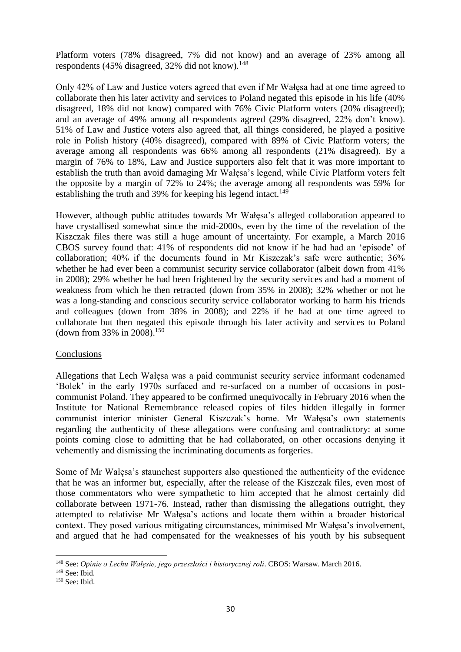Platform voters (78% disagreed, 7% did not know) and an average of 23% among all respondents (45% disagreed,  $32\%$  did not know).<sup>148</sup>

Only 42% of Law and Justice voters agreed that even if Mr Wałęsa had at one time agreed to collaborate then his later activity and services to Poland negated this episode in his life (40% disagreed, 18% did not know) compared with 76% Civic Platform voters (20% disagreed); and an average of 49% among all respondents agreed (29% disagreed, 22% don't know). 51% of Law and Justice voters also agreed that, all things considered, he played a positive role in Polish history (40% disagreed), compared with 89% of Civic Platform voters; the average among all respondents was 66% among all respondents (21% disagreed). By a margin of 76% to 18%, Law and Justice supporters also felt that it was more important to establish the truth than avoid damaging Mr Wałęsa's legend, while Civic Platform voters felt the opposite by a margin of 72% to 24%; the average among all respondents was 59% for establishing the truth and 39% for keeping his legend intact.<sup>149</sup>

However, although public attitudes towards Mr Wałęsa's alleged collaboration appeared to have crystallised somewhat since the mid-2000s, even by the time of the revelation of the Kiszczak files there was still a huge amount of uncertainty. For example, a March 2016 CBOS survey found that: 41% of respondents did not know if he had had an 'episode' of collaboration; 40% if the documents found in Mr Kiszczak's safe were authentic; 36% whether he had ever been a communist security service collaborator (albeit down from 41%) in 2008); 29% whether he had been frightened by the security services and had a moment of weakness from which he then retracted (down from 35% in 2008); 32% whether or not he was a long-standing and conscious security service collaborator working to harm his friends and colleagues (down from 38% in 2008); and 22% if he had at one time agreed to collaborate but then negated this episode through his later activity and services to Poland (down from 33% in 2008).<sup>150</sup>

## **Conclusions**

Allegations that Lech Wałęsa was a paid communist security service informant codenamed 'Bolek' in the early 1970s surfaced and re-surfaced on a number of occasions in postcommunist Poland. They appeared to be confirmed unequivocally in February 2016 when the Institute for National Remembrance released copies of files hidden illegally in former communist interior minister General Kiszczak's home. Mr Wałęsa's own statements regarding the authenticity of these allegations were confusing and contradictory: at some points coming close to admitting that he had collaborated, on other occasions denying it vehemently and dismissing the incriminating documents as forgeries.

Some of Mr Wałęsa's staunchest supporters also questioned the authenticity of the evidence that he was an informer but, especially, after the release of the Kiszczak files, even most of those commentators who were sympathetic to him accepted that he almost certainly did collaborate between 1971-76. Instead, rather than dismissing the allegations outright, they attempted to relativise Mr Wałęsa's actions and locate them within a broader historical context. They posed various mitigating circumstances, minimised Mr Wałęsa's involvement, and argued that he had compensated for the weaknesses of his youth by his subsequent

<sup>148</sup> See: *Opinie o Lechu Wałęsie, jego przeszłości i historycznej roli*. CBOS: Warsaw. March 2016.

 $149$  See: Ibid.

<sup>150</sup> See: Ibid.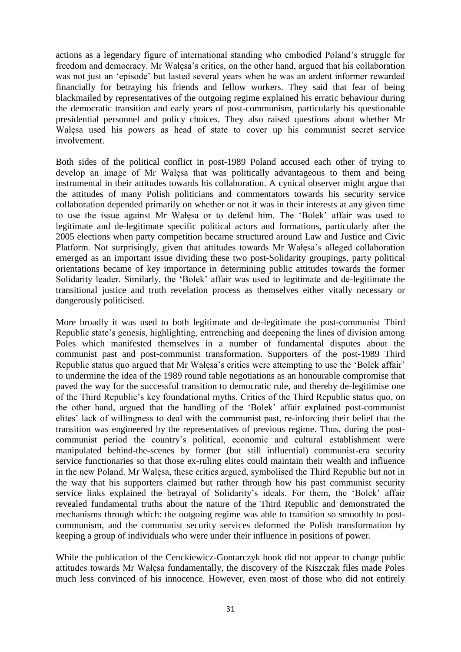actions as a legendary figure of international standing who embodied Poland's struggle for freedom and democracy. Mr Wałęsa's critics, on the other hand, argued that his collaboration was not just an 'episode' but lasted several years when he was an ardent informer rewarded financially for betraying his friends and fellow workers. They said that fear of being blackmailed by representatives of the outgoing regime explained his erratic behaviour during the democratic transition and early years of post-communism, particularly his questionable presidential personnel and policy choices. They also raised questions about whether Mr Wałęsa used his powers as head of state to cover up his communist secret service involvement.

Both sides of the political conflict in post-1989 Poland accused each other of trying to develop an image of Mr Wałęsa that was politically advantageous to them and being instrumental in their attitudes towards his collaboration. A cynical observer might argue that the attitudes of many Polish politicians and commentators towards his security service collaboration depended primarily on whether or not it was in their interests at any given time to use the issue against Mr Wałęsa or to defend him. The 'Bolek' affair was used to legitimate and de-legitimate specific political actors and formations, particularly after the 2005 elections when party competition became structured around Law and Justice and Civic Platform. Not surprisingly, given that attitudes towards Mr Wałęsa's alleged collaboration emerged as an important issue dividing these two post-Solidarity groupings, party political orientations became of key importance in determining public attitudes towards the former Solidarity leader. Similarly, the 'Bolek' affair was used to legitimate and de-legitimate the transitional justice and truth revelation process as themselves either vitally necessary or dangerously politicised.

More broadly it was used to both legitimate and de-legitimate the post-communist Third Republic state's genesis, highlighting, entrenching and deepening the lines of division among Poles which manifested themselves in a number of fundamental disputes about the communist past and post-communist transformation. Supporters of the post-1989 Third Republic status quo argued that Mr Wałęsa's critics were attempting to use the 'Bolek affair' to undermine the idea of the 1989 round table negotiations as an honourable compromise that paved the way for the successful transition to democratic rule, and thereby de-legitimise one of the Third Republic's key foundational myths. Critics of the Third Republic status quo, on the other hand, argued that the handling of the 'Bolek' affair explained post-communist elites' lack of willingness to deal with the communist past, re-inforcing their belief that the transition was engineered by the representatives of previous regime. Thus, during the postcommunist period the country's political, economic and cultural establishment were manipulated behind-the-scenes by former (but still influential) communist-era security service functionaries so that those ex-ruling elites could maintain their wealth and influence in the new Poland. Mr Wałęsa, these critics argued, symbolised the Third Republic but not in the way that his supporters claimed but rather through how his past communist security service links explained the betrayal of Solidarity's ideals. For them, the 'Bolek' affair revealed fundamental truths about the nature of the Third Republic and demonstrated the mechanisms through which: the outgoing regime was able to transition so smoothly to postcommunism, and the communist security services deformed the Polish transformation by keeping a group of individuals who were under their influence in positions of power.

While the publication of the Cenckiewicz-Gontarczyk book did not appear to change public attitudes towards Mr Wałęsa fundamentally, the discovery of the Kiszczak files made Poles much less convinced of his innocence. However, even most of those who did not entirely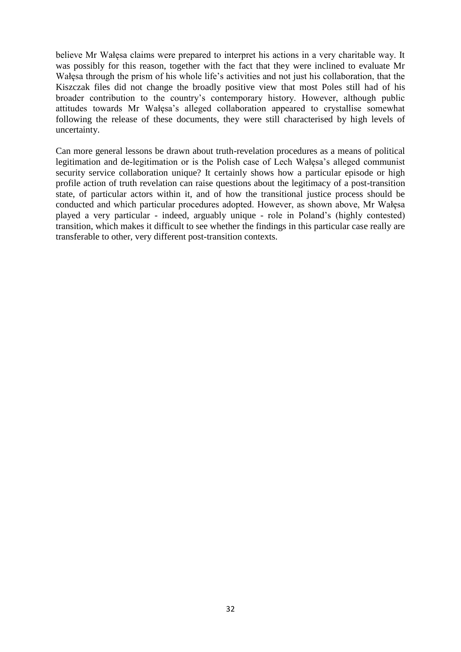believe Mr Wałęsa claims were prepared to interpret his actions in a very charitable way. It was possibly for this reason, together with the fact that they were inclined to evaluate Mr Wałęsa through the prism of his whole life's activities and not just his collaboration, that the Kiszczak files did not change the broadly positive view that most Poles still had of his broader contribution to the country's contemporary history. However, although public attitudes towards Mr Wałęsa's alleged collaboration appeared to crystallise somewhat following the release of these documents, they were still characterised by high levels of uncertainty.

Can more general lessons be drawn about truth-revelation procedures as a means of political legitimation and de-legitimation or is the Polish case of Lech Wałęsa's alleged communist security service collaboration unique? It certainly shows how a particular episode or high profile action of truth revelation can raise questions about the legitimacy of a post-transition state, of particular actors within it, and of how the transitional justice process should be conducted and which particular procedures adopted. However, as shown above, Mr Wałęsa played a very particular - indeed, arguably unique - role in Poland's (highly contested) transition, which makes it difficult to see whether the findings in this particular case really are transferable to other, very different post-transition contexts.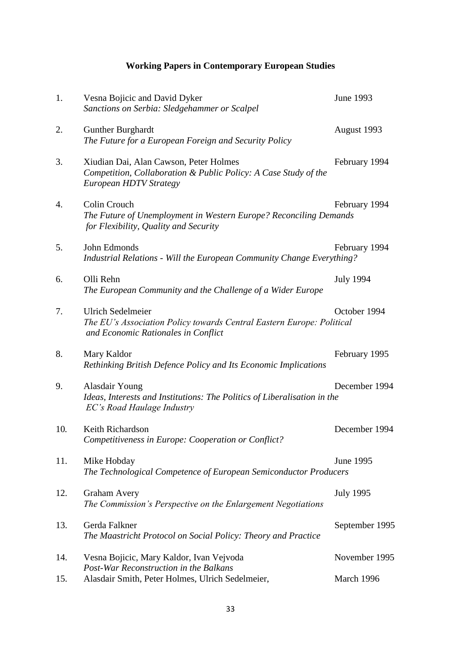# **Working Papers in Contemporary European Studies**

| 1.  | Vesna Bojicic and David Dyker<br>Sanctions on Serbia: Sledgehammer or Scalpel                                                            | June 1993        |
|-----|------------------------------------------------------------------------------------------------------------------------------------------|------------------|
| 2.  | <b>Gunther Burghardt</b><br>The Future for a European Foreign and Security Policy                                                        | August 1993      |
| 3.  | Xiudian Dai, Alan Cawson, Peter Holmes<br>Competition, Collaboration & Public Policy: A Case Study of the<br>European HDTV Strategy      | February 1994    |
| 4.  | Colin Crouch<br>The Future of Unemployment in Western Europe? Reconciling Demands<br>for Flexibility, Quality and Security               | February 1994    |
| 5.  | John Edmonds<br>Industrial Relations - Will the European Community Change Everything?                                                    | February 1994    |
| 6.  | Olli Rehn<br>The European Community and the Challenge of a Wider Europe                                                                  | <b>July 1994</b> |
| 7.  | <b>Ulrich Sedelmeier</b><br>The EU's Association Policy towards Central Eastern Europe: Political<br>and Economic Rationales in Conflict | October 1994     |
| 8.  | Mary Kaldor<br>Rethinking British Defence Policy and Its Economic Implications                                                           | February 1995    |
| 9.  | <b>Alasdair Young</b><br>Ideas, Interests and Institutions: The Politics of Liberalisation in the<br>EC's Road Haulage Industry          | December 1994    |
| 10. | Keith Richardson<br>Competitiveness in Europe: Cooperation or Conflict?                                                                  | December 1994    |
| 11. | Mike Hobday<br>The Technological Competence of European Semiconductor Producers                                                          | June 1995        |
| 12. | <b>Graham Avery</b><br>The Commission's Perspective on the Enlargement Negotiations                                                      | <b>July 1995</b> |
| 13. | Gerda Falkner<br>The Maastricht Protocol on Social Policy: Theory and Practice                                                           | September 1995   |
| 14. | Vesna Bojicic, Mary Kaldor, Ivan Vejvoda<br>Post-War Reconstruction in the Balkans                                                       | November 1995    |
| 15. | Alasdair Smith, Peter Holmes, Ulrich Sedelmeier,                                                                                         | March 1996       |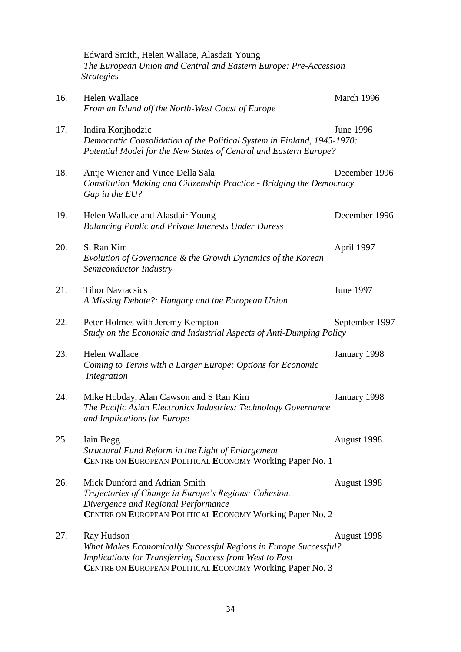|     | Edward Smith, Helen Wallace, Alasdair Young<br>The European Union and Central and Eastern Europe: Pre-Accession<br><b>Strategies</b>                                                                         |                  |
|-----|--------------------------------------------------------------------------------------------------------------------------------------------------------------------------------------------------------------|------------------|
| 16. | <b>Helen Wallace</b><br>From an Island off the North-West Coast of Europe                                                                                                                                    | March 1996       |
| 17. | Indira Konjhodzic<br>Democratic Consolidation of the Political System in Finland, 1945-1970:<br>Potential Model for the New States of Central and Eastern Europe?                                            | <b>June 1996</b> |
| 18. | Antje Wiener and Vince Della Sala<br>Constitution Making and Citizenship Practice - Bridging the Democracy<br>Gap in the EU?                                                                                 | December 1996    |
| 19. | Helen Wallace and Alasdair Young<br><b>Balancing Public and Private Interests Under Duress</b>                                                                                                               | December 1996    |
| 20. | S. Ran Kim<br>Evolution of Governance & the Growth Dynamics of the Korean<br>Semiconductor Industry                                                                                                          | April 1997       |
| 21. | <b>Tibor Navracsics</b><br>A Missing Debate?: Hungary and the European Union                                                                                                                                 | June 1997        |
| 22. | Peter Holmes with Jeremy Kempton<br>Study on the Economic and Industrial Aspects of Anti-Dumping Policy                                                                                                      | September 1997   |
| 23. | Helen Wallace<br>Coming to Terms with a Larger Europe: Options for Economic<br>Integration                                                                                                                   | January 1998     |
| 24. | Mike Hobday, Alan Cawson and S Ran Kim<br>The Pacific Asian Electronics Industries: Technology Governance<br>and Implications for Europe                                                                     | January 1998     |
| 25. | Iain Begg<br>Structural Fund Reform in the Light of Enlargement<br>CENTRE ON EUROPEAN POLITICAL ECONOMY Working Paper No. 1                                                                                  | August 1998      |
| 26. | Mick Dunford and Adrian Smith<br>Trajectories of Change in Europe's Regions: Cohesion,<br>Divergence and Regional Performance<br>CENTRE ON EUROPEAN POLITICAL ECONOMY Working Paper No. 2                    | August 1998      |
| 27. | Ray Hudson<br>What Makes Economically Successful Regions in Europe Successful?<br><b>Implications for Transferring Success from West to East</b><br>CENTRE ON EUROPEAN POLITICAL ECONOMY Working Paper No. 3 | August 1998      |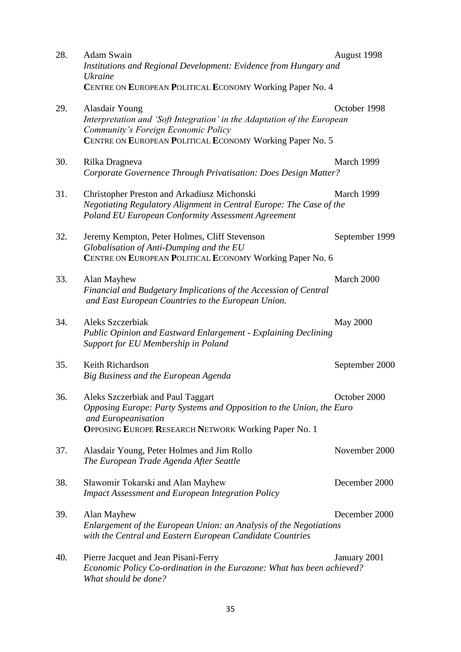| 28. | Adam Swain<br>Institutions and Regional Development: Evidence from Hungary and<br><b>Ukraine</b>                                                                                                | August 1998     |
|-----|-------------------------------------------------------------------------------------------------------------------------------------------------------------------------------------------------|-----------------|
|     | CENTRE ON EUROPEAN POLITICAL ECONOMY Working Paper No. 4                                                                                                                                        |                 |
| 29. | Alasdair Young<br>Interpretation and 'Soft Integration' in the Adaptation of the European<br>Community's Foreign Economic Policy<br>CENTRE ON EUROPEAN POLITICAL ECONOMY Working Paper No. 5    | October 1998    |
| 30. | Rilka Dragneva<br>Corporate Governence Through Privatisation: Does Design Matter?                                                                                                               | March 1999      |
| 31. | Christopher Preston and Arkadiusz Michonski<br>Negotiating Regulatory Alignment in Central Europe: The Case of the<br><b>Poland EU European Conformity Assessment Agreement</b>                 | March 1999      |
| 32. | Jeremy Kempton, Peter Holmes, Cliff Stevenson<br>Globalisation of Anti-Dumping and the EU<br>CENTRE ON EUROPEAN POLITICAL ECONOMY Working Paper No. 6                                           | September 1999  |
| 33. | Alan Mayhew<br>Financial and Budgetary Implications of the Accession of Central<br>and East European Countries to the European Union.                                                           | March 2000      |
| 34. | Aleks Szczerbiak<br>Public Opinion and Eastward Enlargement - Explaining Declining<br>Support for EU Membership in Poland                                                                       | <b>May 2000</b> |
| 35. | Keith Richardson<br>Big Business and the European Agenda                                                                                                                                        | September 2000  |
| 36. | Aleks Szczerbiak and Paul Taggart<br>Opposing Europe: Party Systems and Opposition to the Union, the Euro<br>and Europeanisation<br><b>OPPOSING EUROPE RESEARCH NETWORK Working Paper No. 1</b> | October 2000    |
| 37. | Alasdair Young, Peter Holmes and Jim Rollo<br>The European Trade Agenda After Seattle                                                                                                           | November 2000   |
| 38. | Sławomir Tokarski and Alan Mayhew<br><b>Impact Assessment and European Integration Policy</b>                                                                                                   | December 2000   |
| 39. | Alan Mayhew<br>Enlargement of the European Union: an Analysis of the Negotiations<br>with the Central and Eastern European Candidate Countries                                                  | December 2000   |
| 40. | Pierre Jacquet and Jean Pisani-Ferry<br>Economic Policy Co-ordination in the Eurozone: What has been achieved?<br>What should be done?                                                          | January 2001    |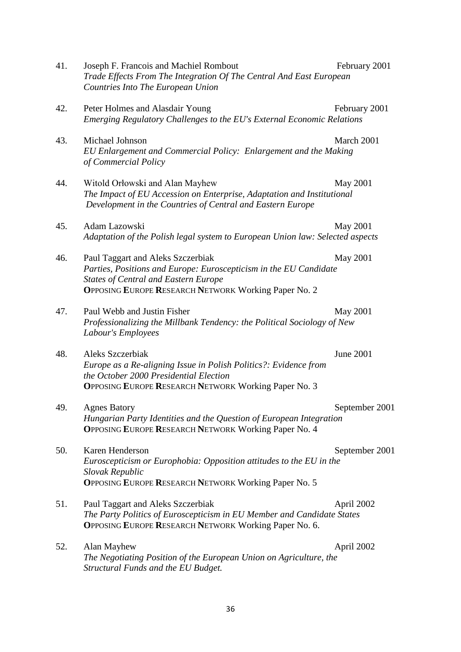| 41. | Joseph F. Francois and Machiel Rombout<br>Trade Effects From The Integration Of The Central And East European<br>Countries Into The European Union                                                                   | February 2001    |
|-----|----------------------------------------------------------------------------------------------------------------------------------------------------------------------------------------------------------------------|------------------|
| 42. | Peter Holmes and Alasdair Young<br>Emerging Regulatory Challenges to the EU's External Economic Relations                                                                                                            | February 2001    |
| 43. | Michael Johnson<br>EU Enlargement and Commercial Policy: Enlargement and the Making<br>of Commercial Policy                                                                                                          | March 2001       |
| 44. | Witold Orłowski and Alan Mayhew<br>The Impact of EU Accession on Enterprise, Adaptation and Institutional<br>Development in the Countries of Central and Eastern Europe                                              | May 2001         |
| 45. | Adam Lazowski<br>Adaptation of the Polish legal system to European Union law: Selected aspects                                                                                                                       | May 2001         |
| 46. | Paul Taggart and Aleks Szczerbiak<br>Parties, Positions and Europe: Euroscepticism in the EU Candidate<br><b>States of Central and Eastern Europe</b><br><b>OPPOSING EUROPE RESEARCH NETWORK Working Paper No. 2</b> | May 2001         |
| 47. | Paul Webb and Justin Fisher<br>Professionalizing the Millbank Tendency: the Political Sociology of New<br>Labour's Employees                                                                                         | May 2001         |
| 48. | Aleks Szczerbiak<br>Europe as a Re-aligning Issue in Polish Politics?: Evidence from<br>the October 2000 Presidential Election<br><b>OPPOSING EUROPE RESEARCH NETWORK Working Paper No. 3</b>                        | <b>June 2001</b> |
| 49. | <b>Agnes Batory</b><br>Hungarian Party Identities and the Question of European Integration<br><b>OPPOSING EUROPE RESEARCH NETWORK Working Paper No. 4</b>                                                            | September 2001   |
| 50. | Karen Henderson<br>Euroscepticism or Europhobia: Opposition attitudes to the EU in the<br>Slovak Republic<br><b>OPPOSING EUROPE RESEARCH NETWORK Working Paper No. 5</b>                                             | September 2001   |
| 51. | Paul Taggart and Aleks Szczerbiak<br>The Party Politics of Euroscepticism in EU Member and Candidate States<br><b>OPPOSING EUROPE RESEARCH NETWORK Working Paper No. 6.</b>                                          | April 2002       |
| 52. | Alan Mayhew<br>The Negotiating Position of the European Union on Agriculture, the<br>Structural Funds and the EU Budget.                                                                                             | April 2002       |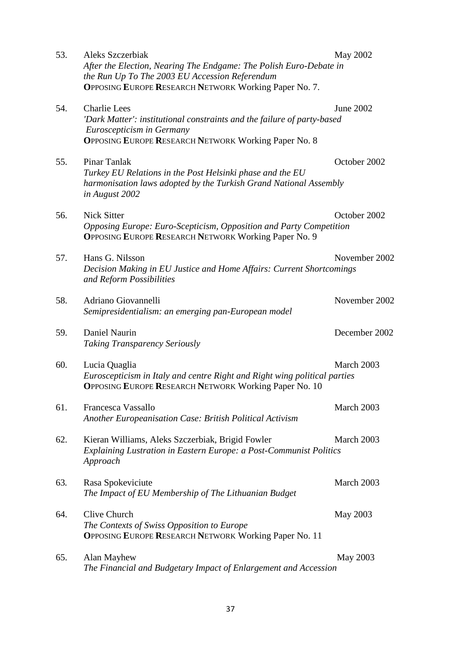| 53. | Aleks Szczerbiak<br>After the Election, Nearing The Endgame: The Polish Euro-Debate in<br>the Run Up To The 2003 EU Accession Referendum<br><b>OPPOSING EUROPE RESEARCH NETWORK Working Paper No. 7.</b> | May 2002      |
|-----|----------------------------------------------------------------------------------------------------------------------------------------------------------------------------------------------------------|---------------|
| 54. | <b>Charlie Lees</b><br>'Dark Matter': institutional constraints and the failure of party-based<br>Euroscepticism in Germany<br><b>OPPOSING EUROPE RESEARCH NETWORK Working Paper No. 8</b>               | June 2002     |
| 55. | Pinar Tanlak<br>Turkey EU Relations in the Post Helsinki phase and the EU<br>harmonisation laws adopted by the Turkish Grand National Assembly<br>in August 2002                                         | October 2002  |
| 56. | <b>Nick Sitter</b><br>Opposing Europe: Euro-Scepticism, Opposition and Party Competition<br><b>OPPOSING EUROPE RESEARCH NETWORK Working Paper No. 9</b>                                                  | October 2002  |
| 57. | Hans G. Nilsson<br>Decision Making in EU Justice and Home Affairs: Current Shortcomings<br>and Reform Possibilities                                                                                      | November 2002 |
| 58. | Adriano Giovannelli<br>Semipresidentialism: an emerging pan-European model                                                                                                                               | November 2002 |
| 59. | Daniel Naurin<br><b>Taking Transparency Seriously</b>                                                                                                                                                    | December 2002 |
| 60. | Lucia Quaglia<br>Euroscepticism in Italy and centre Right and Right wing political parties<br><b>OPPOSING EUROPE RESEARCH NETWORK Working Paper No. 10</b>                                               | March 2003    |
| 61. | Francesca Vassallo<br>Another Europeanisation Case: British Political Activism                                                                                                                           | March 2003    |
| 62. | Kieran Williams, Aleks Szczerbiak, Brigid Fowler<br>Explaining Lustration in Eastern Europe: a Post-Communist Politics<br>Approach                                                                       | March 2003    |
| 63. | Rasa Spokeviciute<br>The Impact of EU Membership of The Lithuanian Budget                                                                                                                                | March 2003    |
| 64. | Clive Church<br>The Contexts of Swiss Opposition to Europe<br><b>OPPOSING EUROPE RESEARCH NETWORK Working Paper No. 11</b>                                                                               | May 2003      |
| 65. | Alan Mayhew<br>The Financial and Budgetary Impact of Enlargement and Accession                                                                                                                           | May 2003      |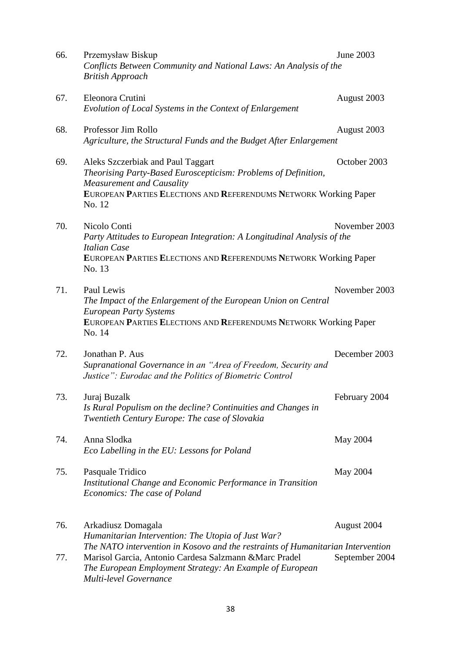| 66. | Przemysław Biskup<br>Conflicts Between Community and National Laws: An Analysis of the<br><b>British Approach</b>                                                                                                               | June 2003      |
|-----|---------------------------------------------------------------------------------------------------------------------------------------------------------------------------------------------------------------------------------|----------------|
| 67. | Eleonora Crutini<br>Evolution of Local Systems in the Context of Enlargement                                                                                                                                                    | August 2003    |
| 68. | Professor Jim Rollo<br>Agriculture, the Structural Funds and the Budget After Enlargement                                                                                                                                       | August 2003    |
| 69. | Aleks Szczerbiak and Paul Taggart<br>Theorising Party-Based Euroscepticism: Problems of Definition,<br><b>Measurement and Causality</b><br>EUROPEAN PARTIES ELECTIONS AND REFERENDUMS NETWORK Working Paper<br>No. 12           | October 2003   |
| 70. | Nicolo Conti<br>Party Attitudes to European Integration: A Longitudinal Analysis of the<br><b>Italian Case</b><br>EUROPEAN PARTIES ELECTIONS AND REFERENDUMS NETWORK Working Paper<br>No. 13                                    | November 2003  |
| 71. | Paul Lewis<br>The Impact of the Enlargement of the European Union on Central<br><b>European Party Systems</b><br>EUROPEAN PARTIES ELECTIONS AND REFERENDUMS NETWORK Working Paper<br>No. 14                                     | November 2003  |
| 72. | Jonathan P. Aus<br>Supranational Governance in an "Area of Freedom, Security and<br>Justice": Eurodac and the Politics of Biometric Control                                                                                     | December 2003  |
| 73. | Juraj Buzalk<br>Is Rural Populism on the decline? Continuities and Changes in<br>Twentieth Century Europe: The case of Slovakia                                                                                                 | February 2004  |
| 74. | Anna Slodka<br>Eco Labelling in the EU: Lessons for Poland                                                                                                                                                                      | May 2004       |
| 75. | Pasquale Tridico<br>Institutional Change and Economic Performance in Transition<br>Economics: The case of Poland                                                                                                                | May 2004       |
| 76. | Arkadiusz Domagala<br>Humanitarian Intervention: The Utopia of Just War?                                                                                                                                                        | August 2004    |
| 77. | The NATO intervention in Kosovo and the restraints of Humanitarian Intervention<br>Marisol Garcia, Antonio Cardesa Salzmann & Marc Pradel<br>The European Employment Strategy: An Example of European<br>Multi-level Governance | September 2004 |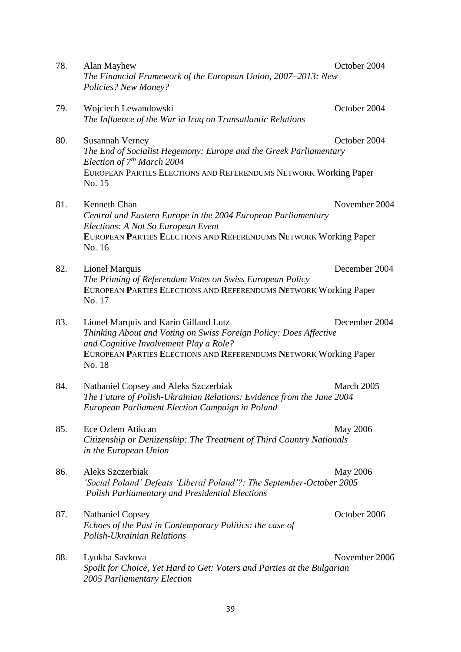| 78. | Alan Mayhew<br>The Financial Framework of the European Union, 2007–2013: New<br>Policies? New Money?                                                                                                                               | October 2004    |
|-----|------------------------------------------------------------------------------------------------------------------------------------------------------------------------------------------------------------------------------------|-----------------|
| 79. | Wojciech Lewandowski<br>The Influence of the War in Iraq on Transatlantic Relations                                                                                                                                                | October 2004    |
| 80. | Susannah Verney<br>The End of Socialist Hegemony: Europe and the Greek Parliamentary<br>Election of $7^{th}$ March 2004                                                                                                            | October 2004    |
|     | EUROPEAN PARTIES ELECTIONS AND REFERENDUMS NETWORK Working Paper<br>No. 15                                                                                                                                                         |                 |
| 81. | Kenneth Chan<br>Central and Eastern Europe in the 2004 European Parliamentary<br>Elections: A Not So European Event                                                                                                                | November 2004   |
|     | EUROPEAN PARTIES ELECTIONS AND REFERENDUMS NETWORK Working Paper<br>No. 16                                                                                                                                                         |                 |
| 82. | <b>Lionel Marquis</b><br>The Priming of Referendum Votes on Swiss European Policy<br>EUROPEAN PARTIES ELECTIONS AND REFERENDUMS NETWORK Working Paper<br>No. 17                                                                    | December 2004   |
| 83. | Lionel Marquis and Karin Gilland Lutz<br>Thinking About and Voting on Swiss Foreign Policy: Does Affective<br>and Cognitive Involvement Play a Role?<br>EUROPEAN PARTIES ELECTIONS AND REFERENDUMS NETWORK Working Paper<br>No. 18 | December 2004   |
| 84. | Nathaniel Copsey and Aleks Szczerbiak<br>The Future of Polish-Ukrainian Relations: Evidence from the June 2004<br>European Parliament Election Campaign in Poland                                                                  | March 2005      |
| 85. | Ece Ozlem Atikcan<br>Citizenship or Denizenship: The Treatment of Third Country Nationals<br>in the European Union                                                                                                                 | <b>May 2006</b> |
| 86. | Aleks Szczerbiak<br>'Social Poland' Defeats 'Liberal Poland'?: The September-October 2005<br><b>Polish Parliamentary and Presidential Elections</b>                                                                                | <b>May 2006</b> |
| 87. | <b>Nathaniel Copsey</b><br>Echoes of the Past in Contemporary Politics: the case of<br>Polish-Ukrainian Relations                                                                                                                  | October 2006    |
| 88. | Lyukba Savkova<br>Spoilt for Choice, Yet Hard to Get: Voters and Parties at the Bulgarian<br>2005 Parliamentary Election                                                                                                           | November 2006   |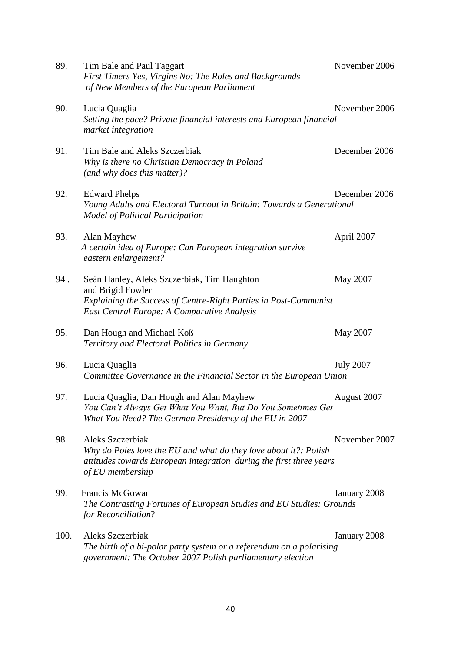| 89.  | Tim Bale and Paul Taggart<br>First Timers Yes, Virgins No: The Roles and Backgrounds<br>of New Members of the European Parliament                                                   | November 2006    |
|------|-------------------------------------------------------------------------------------------------------------------------------------------------------------------------------------|------------------|
| 90.  | Lucia Quaglia<br>Setting the pace? Private financial interests and European financial<br>market integration                                                                         | November 2006    |
| 91.  | Tim Bale and Aleks Szczerbiak<br>Why is there no Christian Democracy in Poland<br>(and why does this matter)?                                                                       | December 2006    |
| 92.  | <b>Edward Phelps</b><br>Young Adults and Electoral Turnout in Britain: Towards a Generational<br><b>Model of Political Participation</b>                                            | December 2006    |
| 93.  | Alan Mayhew<br>A certain idea of Europe: Can European integration survive<br>eastern enlargement?                                                                                   | April 2007       |
| 94.  | Seán Hanley, Aleks Szczerbiak, Tim Haughton<br>and Brigid Fowler<br>Explaining the Success of Centre-Right Parties in Post-Communist<br>East Central Europe: A Comparative Analysis | May 2007         |
| 95.  | Dan Hough and Michael Koß<br>Territory and Electoral Politics in Germany                                                                                                            | May 2007         |
| 96.  | Lucia Quaglia<br>Committee Governance in the Financial Sector in the European Union                                                                                                 | <b>July 2007</b> |
| 97.  | Lucia Quaglia, Dan Hough and Alan Mayhew<br>You Can't Always Get What You Want, But Do You Sometimes Get<br>What You Need? The German Presidency of the EU in 2007                  | August 2007      |
| 98.  | Aleks Szczerbiak<br>Why do Poles love the EU and what do they love about it?: Polish<br>attitudes towards European integration during the first three years<br>of EU membership     | November 2007    |
| 99.  | Francis McGowan<br>The Contrasting Fortunes of European Studies and EU Studies: Grounds<br>for Reconciliation?                                                                      | January 2008     |
| 100. | Aleks Szczerbiak<br>The birth of a bi-polar party system or a referendum on a polarising<br>government: The October 2007 Polish parliamentary election                              | January 2008     |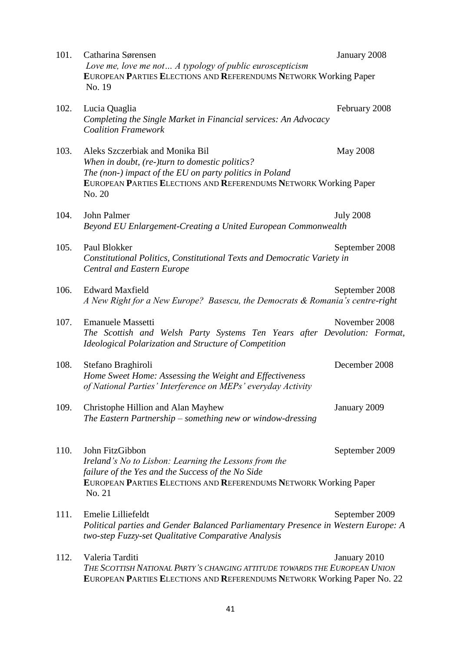| 101. | Catharina Sørensen<br>Love me, love me not A typology of public euroscepticism<br>EUROPEAN PARTIES ELECTIONS AND REFERENDUMS NETWORK Working Paper                                                                         | January 2008     |
|------|----------------------------------------------------------------------------------------------------------------------------------------------------------------------------------------------------------------------------|------------------|
|      | No. 19                                                                                                                                                                                                                     |                  |
| 102. | Lucia Quaglia<br>Completing the Single Market in Financial services: An Advocacy<br><b>Coalition Framework</b>                                                                                                             | February 2008    |
| 103. | Aleks Szczerbiak and Monika Bil<br>When in doubt, (re-)turn to domestic politics?<br>The (non-) impact of the EU on party politics in Poland<br>EUROPEAN PARTIES ELECTIONS AND REFERENDUMS NETWORK Working Paper<br>No. 20 | <b>May 2008</b>  |
| 104. | John Palmer<br>Beyond EU Enlargement-Creating a United European Commonwealth                                                                                                                                               | <b>July 2008</b> |
| 105. | Paul Blokker<br>Constitutional Politics, Constitutional Texts and Democratic Variety in<br><b>Central and Eastern Europe</b>                                                                                               | September 2008   |
| 106. | <b>Edward Maxfield</b><br>A New Right for a New Europe? Basescu, the Democrats & Romania's centre-right                                                                                                                    | September 2008   |
| 107. | <b>Emanuele Massetti</b><br>The Scottish and Welsh Party Systems Ten Years after Devolution: Format,<br>Ideological Polarization and Structure of Competition                                                              | November 2008    |
| 108. | Stefano Braghiroli<br>Home Sweet Home: Assessing the Weight and Effectiveness<br>of National Parties' Interference on MEPs' everyday Activity                                                                              | December 2008    |
| 109. | Christophe Hillion and Alan Mayhew<br>The Eastern Partnership - something new or window-dressing                                                                                                                           | January 2009     |
| 110. | John FitzGibbon<br>Ireland's No to Lisbon: Learning the Lessons from the<br>failure of the Yes and the Success of the No Side                                                                                              | September 2009   |
|      | EUROPEAN PARTIES ELECTIONS AND REFERENDUMS NETWORK Working Paper<br>No. 21                                                                                                                                                 |                  |
| 111. | Emelie Lilliefeldt<br>Political parties and Gender Balanced Parliamentary Presence in Western Europe: A<br>two-step Fuzzy-set Qualitative Comparative Analysis                                                             | September 2009   |
| 112. | Valeria Tarditi<br>THE SCOTTISH NATIONAL PARTY'S CHANGING ATTITUDE TOWARDS THE EUROPEAN UNION<br>EUROPEAN PARTIES ELECTIONS AND REFERENDUMS NETWORK Working Paper No. 22                                                   | January 2010     |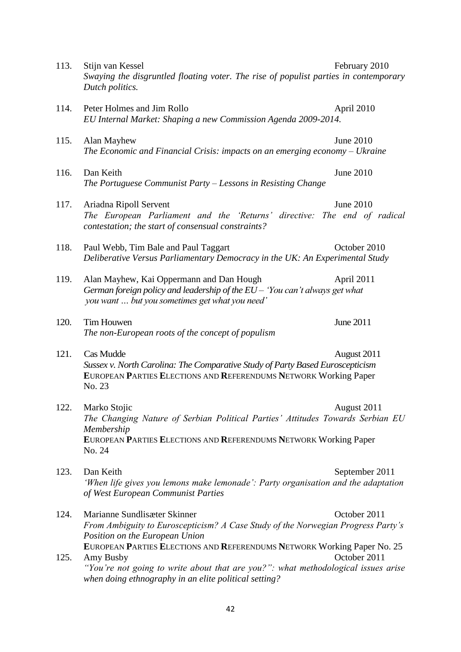| 113. | Stijn van Kessel<br>February 2010<br>Swaying the disgruntled floating voter. The rise of populist parties in contemporary<br>Dutch politics.                                                                                                       |  |
|------|----------------------------------------------------------------------------------------------------------------------------------------------------------------------------------------------------------------------------------------------------|--|
| 114. | Peter Holmes and Jim Rollo<br>April 2010<br>EU Internal Market: Shaping a new Commission Agenda 2009-2014.                                                                                                                                         |  |
| 115. | <b>June 2010</b><br>Alan Mayhew<br>The Economic and Financial Crisis: impacts on an emerging economy $-Vk$ raine                                                                                                                                   |  |
| 116. | <b>June 2010</b><br>Dan Keith<br>The Portuguese Communist Party - Lessons in Resisting Change                                                                                                                                                      |  |
| 117. | <b>June 2010</b><br>Ariadna Ripoll Servent<br>The European Parliament and the 'Returns' directive: The end of radical<br>contestation; the start of consensual constraints?                                                                        |  |
| 118. | October 2010<br>Paul Webb, Tim Bale and Paul Taggart<br>Deliberative Versus Parliamentary Democracy in the UK: An Experimental Study                                                                                                               |  |
| 119. | Alan Mayhew, Kai Oppermann and Dan Hough<br>April 2011<br>German foreign policy and leadership of the EU - 'You can't always get what<br>you want  but you sometimes get what you need'                                                            |  |
| 120. | June 2011<br>Tim Houwen<br>The non-European roots of the concept of populism                                                                                                                                                                       |  |
| 121. | Cas Mudde<br>August 2011<br>Sussex v. North Carolina: The Comparative Study of Party Based Euroscepticism<br>EUROPEAN PARTIES ELECTIONS AND REFERENDUMS NETWORK Working Paper<br>No. 23                                                            |  |
| 122. | Marko Stojic<br>August 2011<br>The Changing Nature of Serbian Political Parties' Attitudes Towards Serbian EU<br>Membership<br>EUROPEAN PARTIES ELECTIONS AND REFERENDUMS NETWORK Working Paper<br>No. 24                                          |  |
| 123. | Dan Keith<br>September 2011<br>'When life gives you lemons make lemonade': Party organisation and the adaptation<br>of West European Communist Parties                                                                                             |  |
| 124. | Marianne Sundlisæter Skinner<br>October 2011<br>From Ambiguity to Euroscepticism? A Case Study of the Norwegian Progress Party's<br>Position on the European Union                                                                                 |  |
| 125. | EUROPEAN PARTIES ELECTIONS AND REFERENDUMS NETWORK Working Paper No. 25<br>October 2011<br>Amy Busby<br>"You're not going to write about that are you?": what methodological issues arise<br>when doing ethnography in an elite political setting? |  |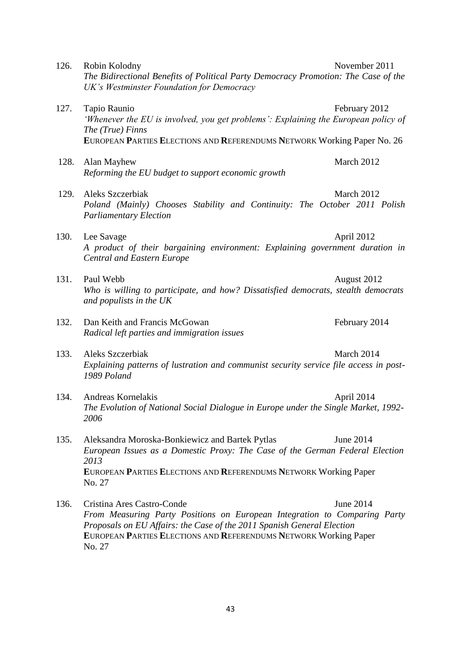| 126. | Robin Kolodny<br>The Bidirectional Benefits of Political Party Democracy Promotion: The Case of the<br>UK's Westminster Foundation for Democracy                                                                                                                | November 2011 |
|------|-----------------------------------------------------------------------------------------------------------------------------------------------------------------------------------------------------------------------------------------------------------------|---------------|
| 127. | Tapio Raunio<br>'Whenever the EU is involved, you get problems': Explaining the European policy of<br>The (True) Finns<br>EUROPEAN PARTIES ELECTIONS AND REFERENDUMS NETWORK Working Paper No. 26                                                               | February 2012 |
| 128. | Alan Mayhew<br>Reforming the EU budget to support economic growth                                                                                                                                                                                               | March 2012    |
| 129. | Aleks Szczerbiak<br>Poland (Mainly) Chooses Stability and Continuity: The October 2011 Polish<br><b>Parliamentary Election</b>                                                                                                                                  | March 2012    |
| 130. | Lee Savage<br>A product of their bargaining environment: Explaining government duration in<br><b>Central and Eastern Europe</b>                                                                                                                                 | April 2012    |
| 131. | Paul Webb<br>Who is willing to participate, and how? Dissatisfied democrats, stealth democrats<br>and populists in the UK                                                                                                                                       | August 2012   |
| 132. | Dan Keith and Francis McGowan<br>Radical left parties and immigration issues                                                                                                                                                                                    | February 2014 |
| 133. | Aleks Szczerbiak<br>Explaining patterns of lustration and communist security service file access in post-<br>1989 Poland                                                                                                                                        | March 2014    |
| 134. | Andreas Kornelakis<br>The Evolution of National Social Dialogue in Europe under the Single Market, 1992-<br>2006                                                                                                                                                | April 2014    |
| 135. | Aleksandra Moroska-Bonkiewicz and Bartek Pytlas<br>European Issues as a Domestic Proxy: The Case of the German Federal Election<br>2013<br>EUROPEAN PARTIES ELECTIONS AND REFERENDUMS NETWORK Working Paper<br>No. 27                                           | June 2014     |
| 136. | Cristina Ares Castro-Conde<br>From Measuring Party Positions on European Integration to Comparing Party<br>Proposals on EU Affairs: the Case of the 2011 Spanish General Election<br>EUROPEAN PARTIES ELECTIONS AND REFERENDUMS NETWORK Working Paper<br>No. 27 | June 2014     |